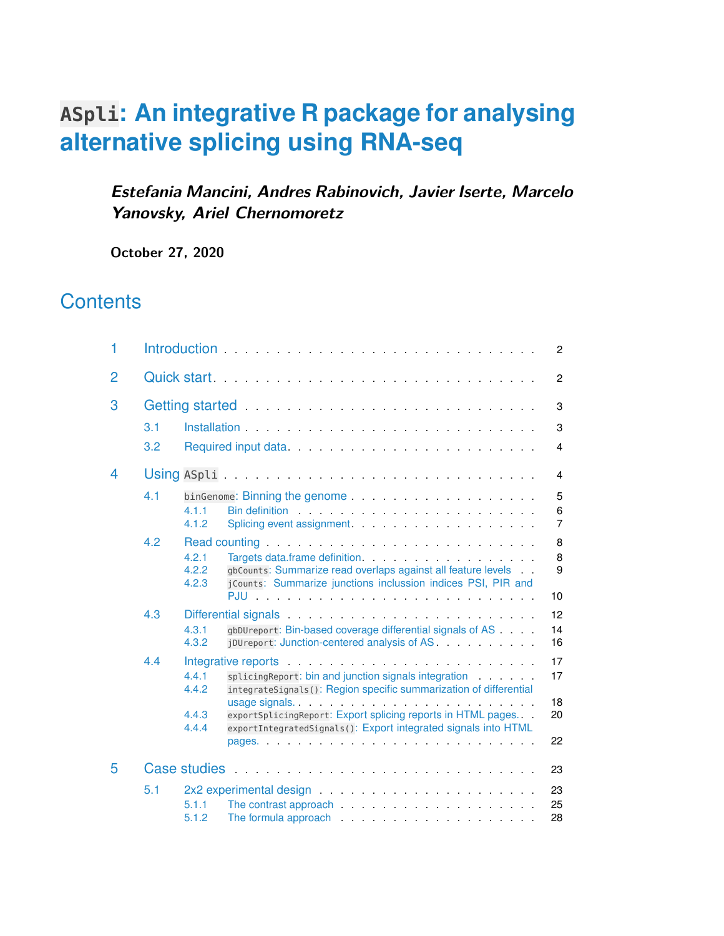**Estefania Mancini, Andres Rabinovich, Javier Iserte, Marcelo Yanovsky, Ariel Chernomoretz**

**October 27, 2020**

# **Contents**

| 1 | $\overline{2}$ |                                                                                                                                                                                                                                                                                                                                                                                 |                          |  |  |  |  |  |  |
|---|----------------|---------------------------------------------------------------------------------------------------------------------------------------------------------------------------------------------------------------------------------------------------------------------------------------------------------------------------------------------------------------------------------|--------------------------|--|--|--|--|--|--|
| 2 |                | $\overline{2}$                                                                                                                                                                                                                                                                                                                                                                  |                          |  |  |  |  |  |  |
| 3 |                |                                                                                                                                                                                                                                                                                                                                                                                 | 3                        |  |  |  |  |  |  |
|   | 3.1            |                                                                                                                                                                                                                                                                                                                                                                                 | 3                        |  |  |  |  |  |  |
|   | 3.2            |                                                                                                                                                                                                                                                                                                                                                                                 | $\overline{4}$           |  |  |  |  |  |  |
| 4 |                | Using ASpliteration and the contract of the state of the state of the state of the state of the state of the s                                                                                                                                                                                                                                                                  | $\overline{4}$           |  |  |  |  |  |  |
|   | 4.1            | binGenome: Binning the genome $\ldots$ , $\ldots$ , $\ldots$ , $\ldots$ , $\ldots$ , $\ldots$<br>4.1.1<br>Splicing event assignment.<br>4.1.2                                                                                                                                                                                                                                   | 5<br>6<br>$\overline{7}$ |  |  |  |  |  |  |
|   | 4.2            | 4.2.1<br>Targets data frame definition.<br>4.2.2<br>gbCounts: Summarize read overlaps against all feature levels<br>jCounts: Summarize junctions inclussion indices PSI, PIR and<br>4.2.3                                                                                                                                                                                       | 8<br>8<br>9              |  |  |  |  |  |  |
|   |                | 10                                                                                                                                                                                                                                                                                                                                                                              |                          |  |  |  |  |  |  |
|   | 4.3            | Differential signals experience of the state of the state of the state of the state of the state of the state of the state of the state of the state of the state of the state of the state of the state of the state of the s<br>12<br>4.3.1<br>gbDUreport: Bin-based coverage differential signals of AS<br>14<br>jDUreport: Junction-centered analysis of AS.<br>4.3.2<br>16 |                          |  |  |  |  |  |  |
|   | 4.4            | Integrative reports entertainment of the state of the state of the state of the state of the state of the state of the state of the state of the state of the state of the state of the state of the state of the state of the<br>17<br>4.4.1<br>splicingReport: bin and junction signals integration<br>17                                                                     |                          |  |  |  |  |  |  |
|   |                | 4.4.2<br>integrateSignals(): Region specific summarization of differential<br>18<br>exportSplicingReport: Export splicing reports in HTML pages.<br>4.4.3<br>20<br>exportIntegratedSignals(): Export integrated signals into HTML<br>4.4.4<br>22                                                                                                                                |                          |  |  |  |  |  |  |
| 5 |                | Case studies<br>23                                                                                                                                                                                                                                                                                                                                                              |                          |  |  |  |  |  |  |
|   | 5.1            | 23                                                                                                                                                                                                                                                                                                                                                                              |                          |  |  |  |  |  |  |
|   |                | The contrast approach entitled and the contrast approach<br>5.1.1<br>25<br>28<br>5.1.2<br>The formula approach entertainment of the formula approaches and the set of the set of the formula of the formula and the formula of the formula of the formula of the formula of the formula of the formula of the formula of                                                        |                          |  |  |  |  |  |  |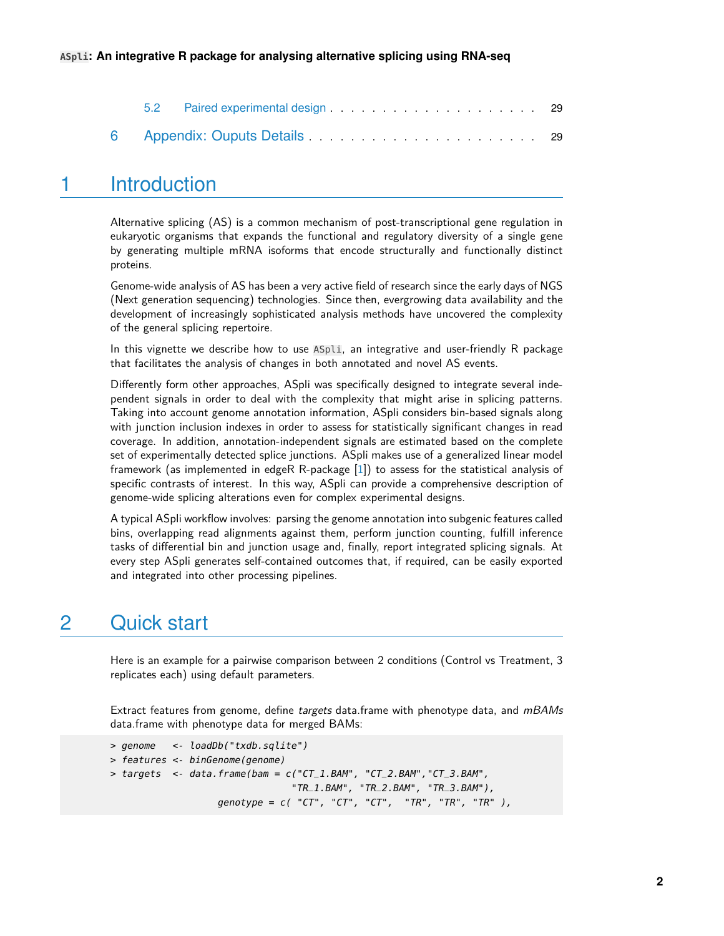<span id="page-1-0"></span>

# 1 Introduction

Alternative splicing (AS) is a common mechanism of post-transcriptional gene regulation in eukaryotic organisms that expands the functional and regulatory diversity of a single gene by generating multiple mRNA isoforms that encode structurally and functionally distinct proteins.

Genome-wide analysis of AS has been a very active field of research since the early days of NGS (Next generation sequencing) technologies. Since then, evergrowing data availability and the development of increasingly sophisticated analysis methods have uncovered the complexity of the general splicing repertoire.

In this vignette we describe how to use ASpli, an integrative and user-friendly R package that facilitates the analysis of changes in both annotated and novel AS events.

Differently form other approaches, ASpli was specifically designed to integrate several independent signals in order to deal with the complexity that might arise in splicing patterns. Taking into account genome annotation information, ASpli considers bin-based signals along with junction inclusion indexes in order to assess for statistically significant changes in read coverage. In addition, annotation-independent signals are estimated based on the complete set of experimentally detected splice junctions. ASpli makes use of a generalized linear model framework (as implemented in edgeR R-package [\[1\]](#page-34-0)) to assess for the statistical analysis of specific contrasts of interest. In this way, ASpli can provide a comprehensive description of genome-wide splicing alterations even for complex experimental designs.

A typical ASpli workflow involves: parsing the genome annotation into subgenic features called bins, overlapping read alignments against them, perform junction counting, fulfill inference tasks of differential bin and junction usage and, finally, report integrated splicing signals. At every step ASpli generates self-contained outcomes that, if required, can be easily exported and integrated into other processing pipelines.

# <span id="page-1-1"></span>2 Quick start

Here is an example for a pairwise comparison between 2 conditions (Control vs Treatment, 3 replicates each) using default parameters.

Extract features from genome, define targets data.frame with phenotype data, and mBAMs data.frame with phenotype data for merged BAMs:

```
> genome <- loadDb("txdb.sqlite")
> features <- binGenome(genome)
> targets <- data.frame(bam = c("CT_1.BAM", "CT_2.BAM", "CT_3.BAM","TR_1.BAM", "TR_2.BAM", "TR_3.BAM"),
                    genotype = c('CT", "CT", "CT", "CT", "TR", "TR", "TR", "TR" ),
```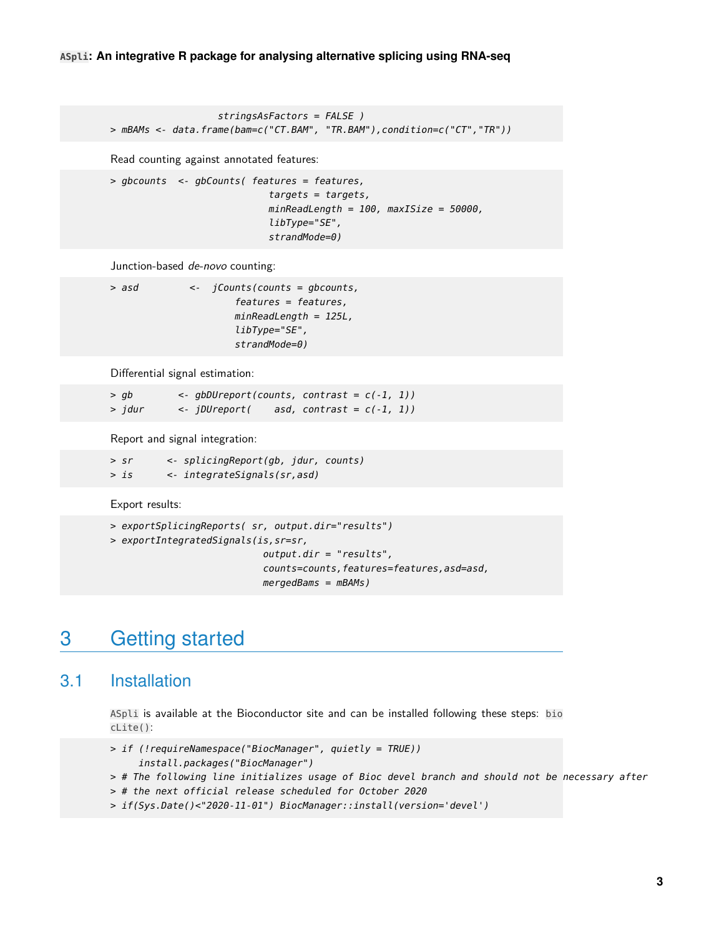```
stringsAsFactors = FALSE )
> mBAMs <- data.frame(bam=c("CT.BAM", "TR.BAM"),condition=c("CT","TR"))
```
Read counting against annotated features:

```
> gbcounts <- gbCounts( features = features,
                            targets = targets,
                            minReadLength = 100, maxISize = 50000,
                            libType="SE",
                            strandMode=0)
```
Junction-based de-novo counting:

```
> asd <- jCounts(counts = gbcounts,
                     features = features,
                     minReadLength = 125L,
                     libType="SE",
                     strandMode=0)
```
Differential signal estimation:

> gb <- gbDUreport(counts, contrast = c(-1, 1)) > jdur <- jDUreport( asd, contrast = c(-1, 1))

Report and signal integration:

> sr <- splicingReport(gb, jdur, counts) > is <- integrateSignals(sr,asd)

Export results:

```
> exportSplicingReports( sr, output.dir="results")
```

```
> exportIntegratedSignals(is,sr=sr,
```

```
output.dir = "results",
counts=counts,features=features,asd=asd,
mergedBams = mBAMs)
```
# <span id="page-2-0"></span>3 Getting started

# 3.1 Installation

<span id="page-2-1"></span>ASpli is available at the Bioconductor site and can be installed following these steps: bio cLite():

```
> if (!requireNamespace("BiocManager", quietly = TRUE))
     install.packages("BiocManager")
```

```
> # The following line initializes usage of Bioc devel branch and should not be necessary after
```
- > # the next official release scheduled for October 2020
- > if(Sys.Date()<"2020-11-01") BiocManager::install(version='devel')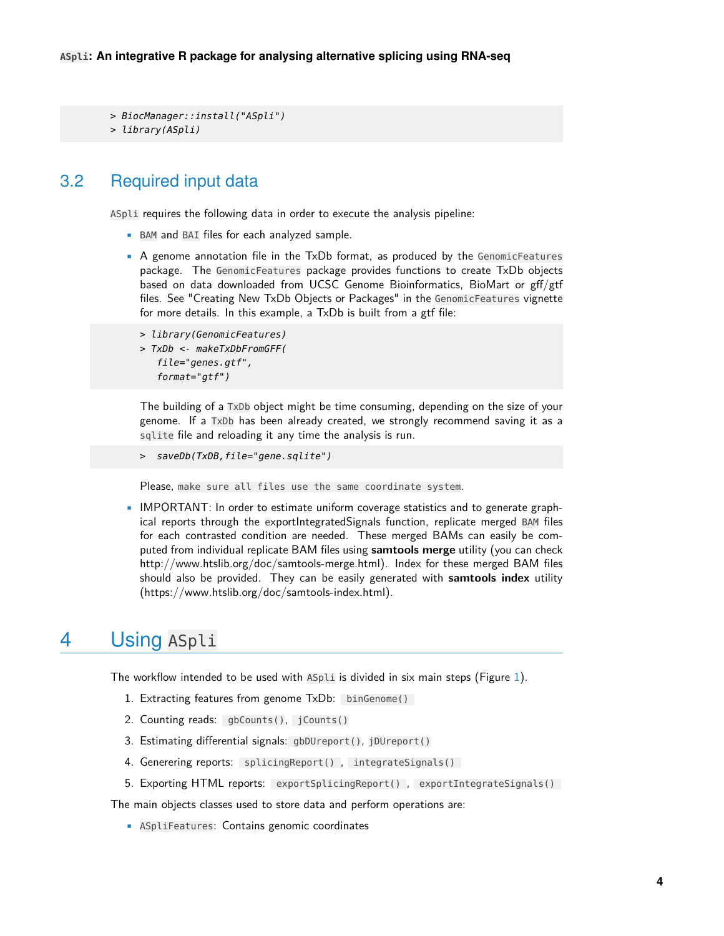```
> BiocManager::install("ASpli")
```

```
> library(ASpli)
```
# 3.2 Required input data

ASpli requires the following data in order to execute the analysis pipeline:

- BAM and BAI files for each analyzed sample.
- A genome annotation file in the TxDb format, as produced by the GenomicFeatures package. The GenomicFeatures package provides functions to create TxDb objects based on data downloaded from UCSC Genome Bioinformatics, BioMart or gff/gtf files. See "Creating New TxDb Objects or Packages" in the GenomicFeatures vignette for more details. In this example, a TxDb is built from a gtf file:

> library(GenomicFeatures) > TxDb <- makeTxDbFromGFF( file="genes.gtf", format="gtf")

The building of a TxDb object might be time consuming, depending on the size of your genome. If a TxDb has been already created, we strongly recommend saving it as a sqlite file and reloading it any time the analysis is run.

```
> saveDb(TxDB,file="gene.sqlite")
```
Please, make sure all files use the same coordinate system.

• IMPORTANT: In order to estimate uniform coverage statistics and to generate graphical reports through the exportIntegratedSignals function, replicate merged BAM files for each contrasted condition are needed. These merged BAMs can easily be computed from individual replicate BAM files using **samtools merge** utility (you can check http://www.htslib.org/doc/samtools-merge.html). Index for these merged BAM files should also be provided. They can be easily generated with **samtools index** utility (https://www.htslib.org/doc/samtools-index.html).

# <span id="page-3-1"></span>4 Using ASpli

The workflow intended to be used with  $\Delta S$  is divided in six main steps (Figure [1\)](#page-4-1).

- 1. Extracting features from genome TxDb: binGenome()
- 2. Counting reads: gbCounts(), jCounts()
- 3. Estimating differential signals: gbDUreport(), jDUreport()
- 4. Generering reports: splicingReport() , integrateSignals()
- 5. Exporting HTML reports: exportSplicingReport() , exportIntegrateSignals()

The main objects classes used to store data and perform operations are:

• ASpliFeatures: Contains genomic coordinates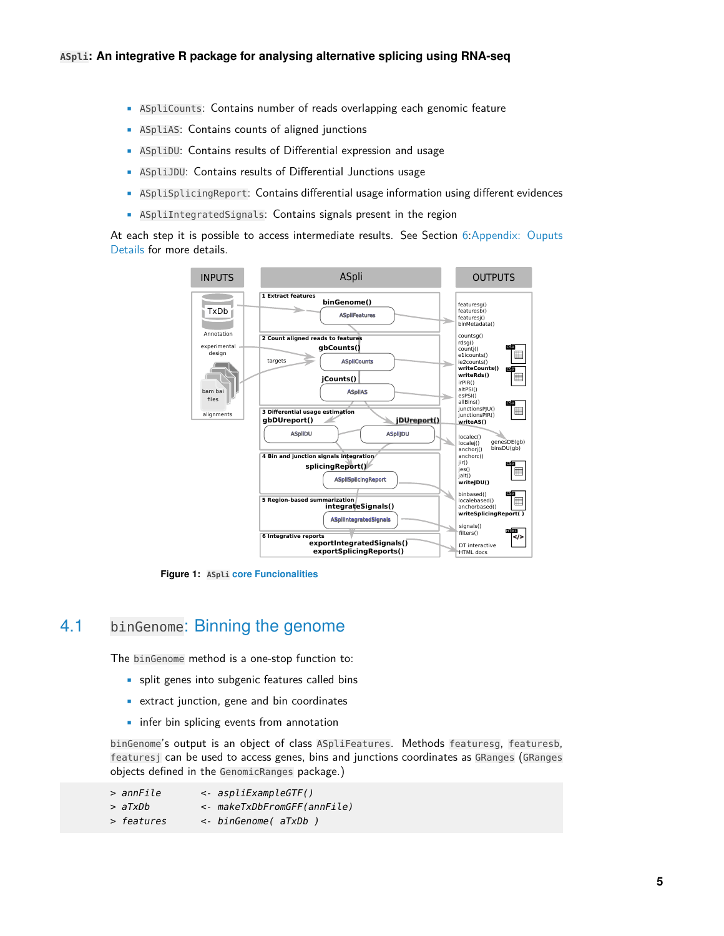- ASpliCounts: Contains number of reads overlapping each genomic feature
- ASpliAS: Contains counts of aligned junctions
- ASpliDU: Contains results of Differential expression and usage
- ASpliJDU: Contains results of Differential Junctions usage
- ASpliSplicingReport: Contains differential usage information using different evidences
- ASpliIntegratedSignals: Contains signals present in the region

<span id="page-4-1"></span>At each step it is possible to access intermediate results. See Section [6:Appendix: Ouputs](#page-28-0) [Details](#page-28-0) for more details.



<span id="page-4-0"></span>**Figure 1: ASpli core Funcionalities**

# 4.1 binGenome: Binning the genome

The binGenome method is a one-stop function to:

- split genes into subgenic features called bins
- extract junction, gene and bin coordinates
- infer bin splicing events from annotation

binGenome's output is an object of class ASpliFeatures. Methods featuresg, featuresb, featuresj can be used to access genes, bins and junctions coordinates as GRanges (GRanges objects defined in the GenomicRanges package.)

| $>$ ann $File$ | <- aspliExampleGTF()        |
|----------------|-----------------------------|
| > aTxDb        | <- makeTxDbFromGFF(annFile) |
| > features     | $\leq$ - binGenome( aTxDb)  |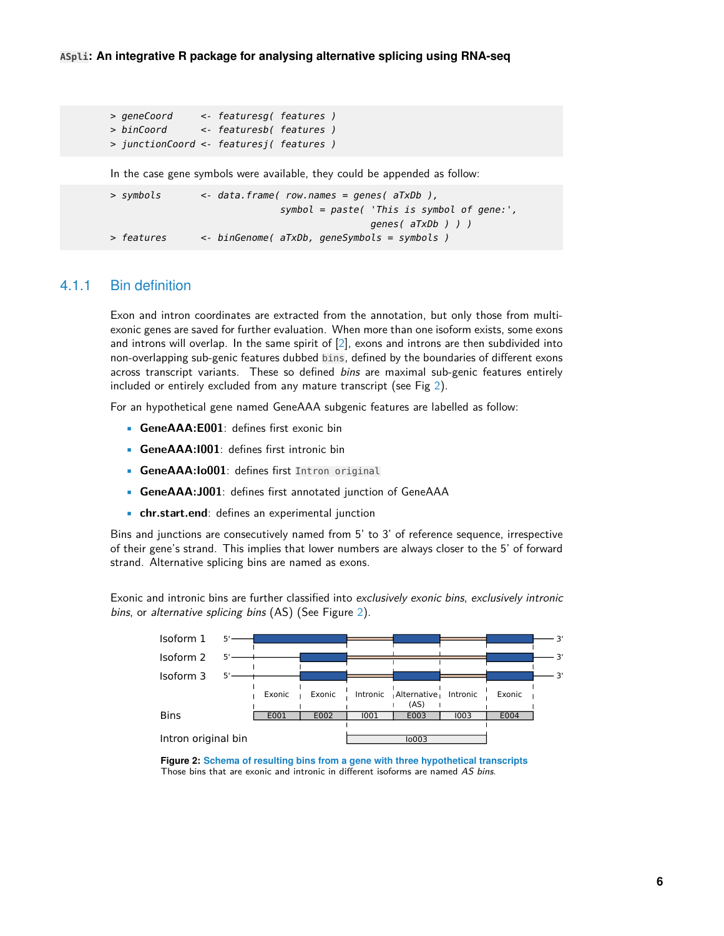> geneCoord <- featuresg( features ) > binCoord <- featuresb( features ) > junctionCoord <- featuresj( features )

In the case gene symbols were available, they could be appended as follow:

```
> symbols <- data.frame( row.names = genes( aTxDb ),
                            symbol = paste( 'This is symbol of gene:',
                                            genes( aTxDb ) ) )
> features <- binGenome( aTxDb, geneSymbols = symbols )
```
## <span id="page-5-0"></span>4.1.1 Bin definition

Exon and intron coordinates are extracted from the annotation, but only those from multiexonic genes are saved for further evaluation. When more than one isoform exists, some exons and introns will overlap. In the same spirit of [\[2\]](#page-34-1), exons and introns are then subdivided into non-overlapping sub-genic features dubbed bins, defined by the boundaries of different exons across transcript variants. These so defined bins are maximal sub-genic features entirely included or entirely excluded from any mature transcript (see Fig [2\)](#page-5-1).

For an hypothetical gene named GeneAAA subgenic features are labelled as follow:

- **GeneAAA:E001**: defines first exonic bin
- **GeneAAA:I001**: defines first intronic bin
- **GeneAAA:Io001**: defines first Intron original
- **GeneAAA:J001**: defines first annotated junction of GeneAAA
- **chr.start.end**: defines an experimental junction

Bins and junctions are consecutively named from 5' to 3' of reference sequence, irrespective of their gene's strand. This implies that lower numbers are always closer to the 5' of forward strand. Alternative splicing bins are named as exons.

<span id="page-5-1"></span>Exonic and intronic bins are further classified into exclusively exonic bins, exclusively intronic bins, or alternative splicing bins (AS) (See Figure [2\)](#page-5-1).



**Figure 2: Schema of resulting bins from a gene with three hypothetical transcripts** Those bins that are exonic and intronic in different isoforms are named AS bins.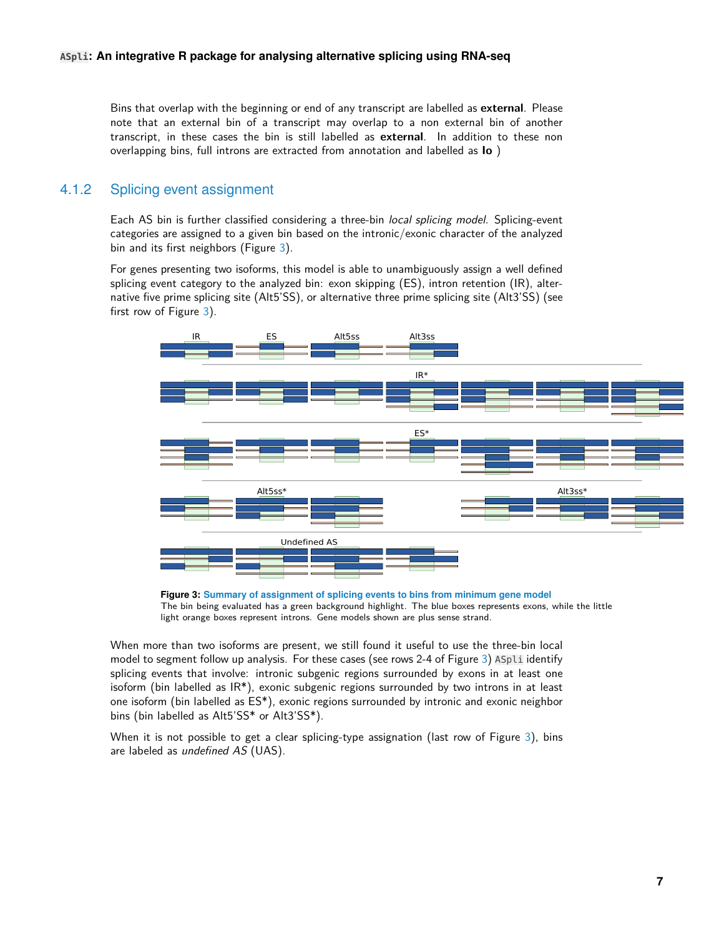<span id="page-6-0"></span>Bins that overlap with the beginning or end of any transcript are labelled as **external**. Please note that an external bin of a transcript may overlap to a non external bin of another transcript, in these cases the bin is still labelled as **external**. In addition to these non overlapping bins, full introns are extracted from annotation and labelled as **Io** )

# 4.1.2 Splicing event assignment

Each AS bin is further classified considering a three-bin local splicing model. Splicing-event categories are assigned to a given bin based on the intronic/exonic character of the analyzed bin and its first neighbors (Figure [3\)](#page-6-2).

For genes presenting two isoforms, this model is able to unambiguously assign a well defined splicing event category to the analyzed bin: exon skipping (ES), intron retention (IR), alternative five prime splicing site (Alt5'SS), or alternative three prime splicing site (Alt3'SS) (see first row of Figure [3\)](#page-6-2).

<span id="page-6-2"></span>

**Figure 3: Summary of assignment of splicing events to bins from minimum gene model** The bin being evaluated has a green background highlight. The blue boxes represents exons, while the little light orange boxes represent introns. Gene models shown are plus sense strand.

When more than two isoforms are present, we still found it useful to use the three-bin local model to segment follow up analysis. For these cases (see rows 2-4 of Figure [3\)](#page-6-2) ASpli identify splicing events that involve: intronic subgenic regions surrounded by exons in at least one isoform (bin labelled as IR\*), exonic subgenic regions surrounded by two introns in at least one isoform (bin labelled as ES\*), exonic regions surrounded by intronic and exonic neighbor bins (bin labelled as Alt5'SS\* or Alt3'SS\*).

<span id="page-6-1"></span>When it is not possible to get a clear splicing-type assignation (last row of Figure [3\)](#page-6-2), bins are labeled as undefined AS (UAS).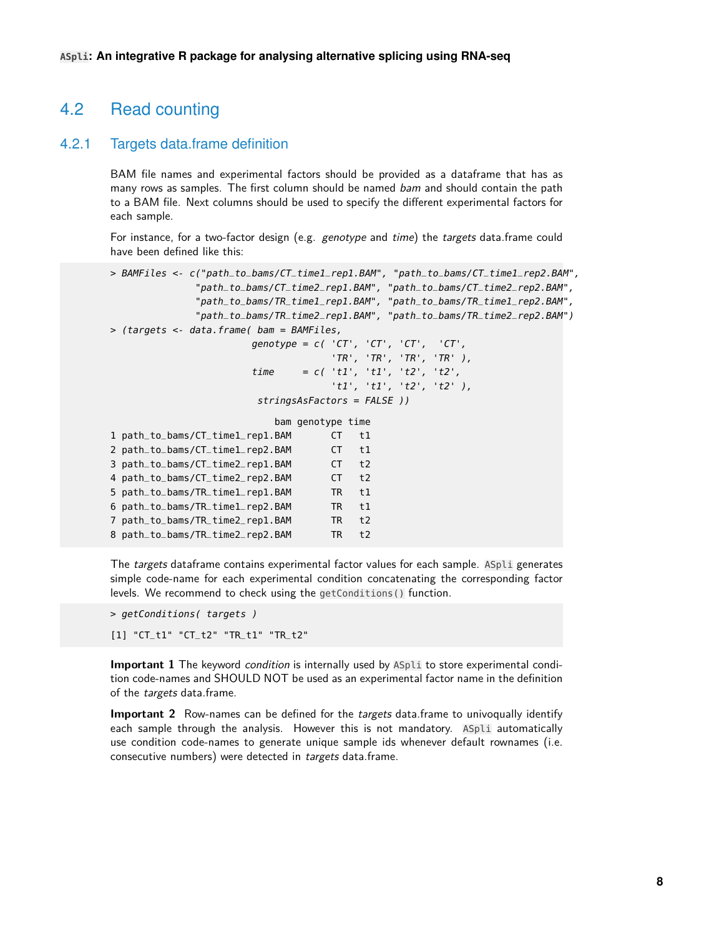# 4.2 Read counting

## 4.2.1 Targets data.frame definition

<span id="page-7-0"></span>BAM file names and experimental factors should be provided as a dataframe that has as many rows as samples. The first column should be named bam and should contain the path to a BAM file. Next columns should be used to specify the different experimental factors for each sample.

For instance, for a two-factor design (e.g. *genotype* and *time*) the *targets* data.frame could have been defined like this:

```
> BAMFiles <- c("path_to_bams/CT_time1_rep1.BAM", "path_to_bams/CT_time1_rep2.BAM",
              "path_to_bams/CT_time2_rep1.BAM", "path_to_bams/CT_time2_rep2.BAM",
              "path_to_bams/TR_time1_rep1.BAM", "path_to_bams/TR_time1_rep2.BAM",
              "path_to_bams/TR_time2_rep1.BAM", "path_to_bams/TR_time2_rep2.BAM")
> (targets <- data.frame( bam = BAMFiles,
                       genotype = c('CT', 'CT', 'CT', 'CT', 'CT','TR', 'TR', 'TR', 'TR' ),
                       time = c('t1', 't1', 't2', 't2','t1', 't1', 't2', 't2')stringsAsFactors = FALSE ))
                           bam genotype time
1 path_to_bams/CT_time1_rep1.BAM CT t1
2 path_to_bams/CT_time1_rep2.BAM CT t1
3 path_to_bams/CT_time2_rep1.BAM CT t2
4 path_to_bams/CT_time2_rep2.BAM CT t2
5 path_to_bams/TR_time1_rep1.BAM TR t1
6 path_to_bams/TR_time1_rep2.BAM TR t1
7 path_to_bams/TR_time2_rep1.BAM TR t2
8 path_to_bams/TR_time2_rep2.BAM TR t2
```
The targets dataframe contains experimental factor values for each sample. ASpli generates simple code-name for each experimental condition concatenating the corresponding factor levels. We recommend to check using the getConditions() function.

> getConditions( targets )

[1] "CT\_t1" "CT\_t2" "TR\_t1" "TR\_t2"

**Important 1** The keyword condition is internally used by ASpli to store experimental condition code-names and SHOULD NOT be used as an experimental factor name in the definition of the targets data.frame.

<span id="page-7-1"></span>**Important 2** Row-names can be defined for the targets data.frame to univoqually identify each sample through the analysis. However this is not mandatory. ASpli automatically use condition code-names to generate unique sample ids whenever default rownames (i.e. consecutive numbers) were detected in targets data.frame.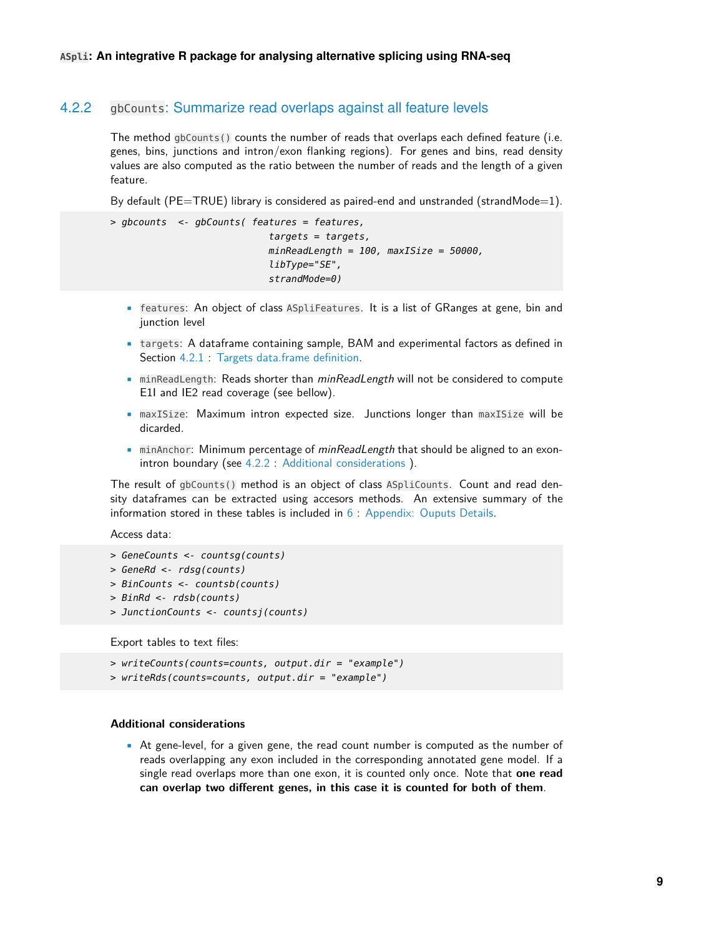## 4.2.2 gbCounts: Summarize read overlaps against all feature levels

The method gbCounts() counts the number of reads that overlaps each defined feature (i.e. genes, bins, junctions and intron/exon flanking regions). For genes and bins, read density values are also computed as the ratio between the number of reads and the length of a given feature.

By default (PE=TRUE) library is considered as paired-end and unstranded (strandMode=1).

```
> gbcounts <- gbCounts( features = features,
                            targets = targets,
                            minReadLength = 100, maxISize = 50000,libType="SE",
                            strandMode=0)
```
- features: An object of class ASpliFeatures. It is a list of GRanges at gene, bin and junction level
- targets: A dataframe containing sample, BAM and experimental factors as defined in Section [4.2.1](#page-7-0) : [Targets data.frame definition.](#page-7-0)
- **•** minReadLength: Reads shorter than  $minReadLength$  will not be considered to compute E1I and IE2 read coverage (see bellow).
- maxISize: Maximum intron expected size. Junctions longer than maxISize will be dicarded.
- **minAnchor: Minimum percentage of minReadLength that should be aligned to an exon**intron boundary (see [4.2.2](#page-7-1) : [Additional considerations](#page-7-1) ).

The result of gbCounts() method is an object of class ASpliCounts. Count and read density dataframes can be extracted using accesors methods. An extensive summary of the information stored in these tables is included in [6](#page-28-0) : [Appendix: Ouputs Details.](#page-28-0)

Access data:

```
> GeneCounts <- countsg(counts)
```
- > GeneRd <- rdsg(counts)
- > BinCounts <- countsb(counts)
- > BinRd <- rdsb(counts)
- > JunctionCounts <- countsj(counts)

Export tables to text files:

```
> writeCounts(counts=counts, output.dir = "example")
```

```
> writeRds(counts=counts, output.dir = "example")
```
#### **Additional considerations**

• At gene-level, for a given gene, the read count number is computed as the number of reads overlapping any exon included in the corresponding annotated gene model. If a single read overlaps more than one exon, it is counted only once. Note that **one read can overlap two different genes, in this case it is counted for both of them**.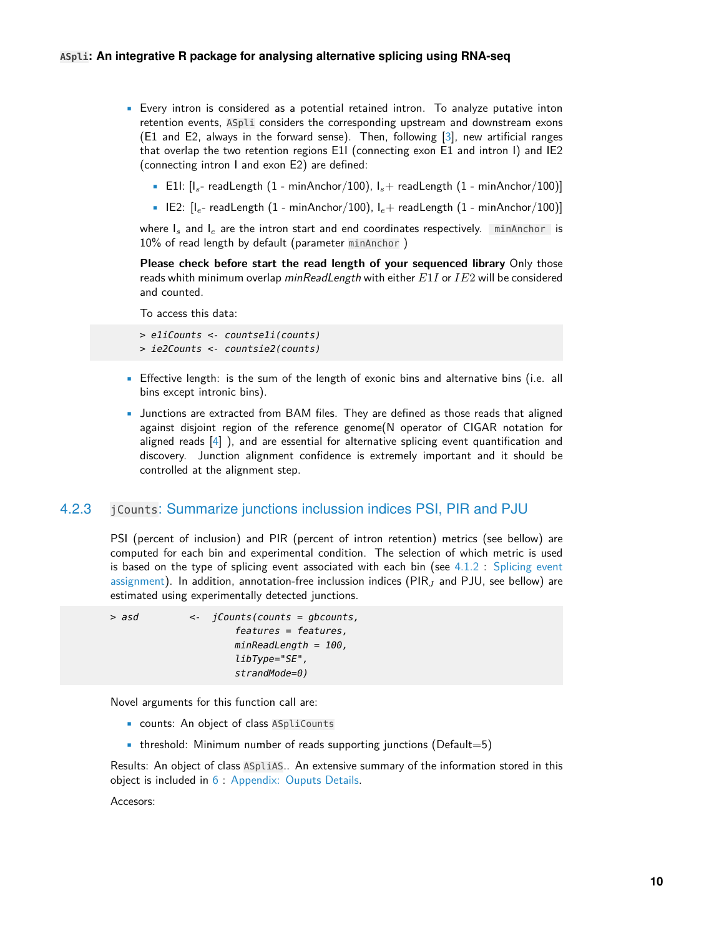- Every intron is considered as a potential retained intron. To analyze putative inton retention events, ASpli considers the corresponding upstream and downstream exons (E1 and E2, always in the forward sense). Then, following [\[3\]](#page-34-2), new artificial ranges that overlap the two retention regions E1I (connecting exon E1 and intron I) and IE2 (connecting intron I and exon E2) are defined:
	- E1I:  $[I_s$  readLength (1 minAnchor/100),  $I_s$ + readLength (1 minAnchor/100)]
	- IE2:  $[I_e$  readLength (1 minAnchor/100),  $I_e$ + readLength (1 minAnchor/100)]

where  $I_s$  and  $I_e$  are the intron start and end coordinates respectively. minAnchor is 10% of read length by default (parameter minAnchor )

**Please check before start the read length of your sequenced library** Only those reads whith minimum overlap minReadLength with either  $E1I$  or  $IE2$  will be considered and counted.

To access this data:

> e1iCounts <- countse1i(counts) > ie2Counts <- countsie2(counts)

- Effective length: is the sum of the length of exonic bins and alternative bins (i.e. all bins except intronic bins).
- Junctions are extracted from BAM files. They are defined as those reads that aligned against disjoint region of the reference genome(N operator of CIGAR notation for aligned reads [\[4\]](#page-34-3) ), and are essential for alternative splicing event quantification and discovery. Junction alignment confidence is extremely important and it should be controlled at the alignment step.

## <span id="page-9-0"></span>4.2.3 jCounts: Summarize junctions inclussion indices PSI, PIR and PJU

PSI (percent of inclusion) and PIR (percent of intron retention) metrics (see bellow) are computed for each bin and experimental condition. The selection of which metric is used is based on the type of splicing event associated with each bin (see  $4.1.2$  : [Splicing event](#page-6-0) [assignment\)](#page-6-0). In addition, annotation-free inclussion indices (PIR $<sub>J</sub>$  and PJU, see bellow) are</sub> estimated using experimentally detected junctions.

> asd <- jCounts(counts = gbcounts, features = features, minReadLength = 100, libType="SE", strandMode=0)

Novel arguments for this function call are:

- counts: An object of class ASpliCounts
- threshold: Minimum number of reads supporting junctions (Default=5)

Results: An object of class ASpliAS.. An extensive summary of the information stored in this object is included in [6](#page-28-0) : [Appendix: Ouputs Details.](#page-28-0)

Accesors: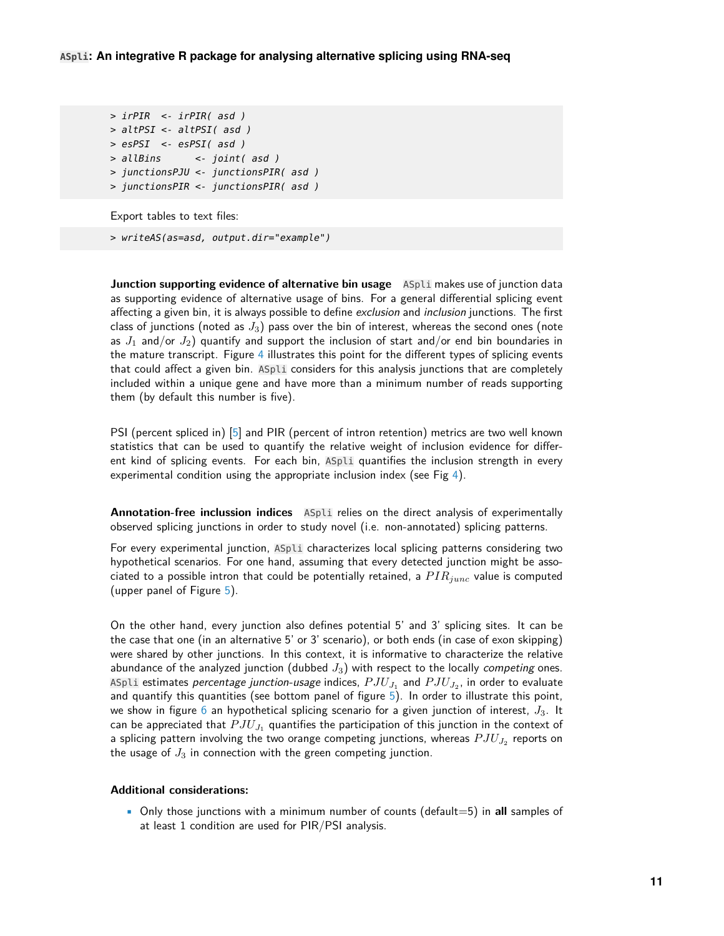```
> irPIR <- irPIR( asd )
> altPSI <- altPSI( asd )
> esPSI <- esPSI( asd )
> allBins <- joint( asd )
> junctionsPJU <- junctionsPIR( asd )
> junctionsPIR <- junctionsPIR( asd )
```
Export tables to text files:

```
> writeAS(as=asd, output.dir="example")
```
**Junction supporting evidence of alternative bin usage** ASpli makes use of junction data as supporting evidence of alternative usage of bins. For a general differential splicing event affecting a given bin, it is always possible to define exclusion and inclusion junctions. The first class of junctions (noted as  $J_3$ ) pass over the bin of interest, whereas the second ones (note as  $J_1$  and/or  $J_2$ ) quantify and support the inclusion of start and/or end bin boundaries in the mature transcript. Figure [4](#page-11-1) illustrates this point for the different types of splicing events that could affect a given bin. ASpli considers for this analysis junctions that are completely included within a unique gene and have more than a minimum number of reads supporting them (by default this number is five).

PSI (percent spliced in) [\[5\]](#page-34-4) and PIR (percent of intron retention) metrics are two well known statistics that can be used to quantify the relative weight of inclusion evidence for different kind of splicing events. For each bin, ASpli quantifies the inclusion strength in every experimental condition using the appropriate inclusion index (see Fig [4\)](#page-11-1).

**Annotation-free inclussion indices** ASpli relies on the direct analysis of experimentally observed splicing junctions in order to study novel (i.e. non-annotated) splicing patterns.

For every experimental junction, ASpli characterizes local splicing patterns considering two hypothetical scenarios. For one hand, assuming that every detected junction might be associated to a possible intron that could be potentially retained, a  $PIR_{junc}$  value is computed (upper panel of Figure [5\)](#page-12-0).

On the other hand, every junction also defines potential 5' and 3' splicing sites. It can be the case that one (in an alternative 5' or 3' scenario), or both ends (in case of exon skipping) were shared by other junctions. In this context, it is informative to characterize the relative abundance of the analyzed junction (dubbed  $J_3$ ) with respect to the locally *competing* ones. <code>ASpli</code> estimates  $\emph{percentage junction-usage}$  indices,  $\emph{PJU}_{J_1}$  and  $\emph{PJU}_{J_2}$ , in order to evaluate and quantify this quantities (see bottom panel of figure [5\)](#page-12-0). In order to illustrate this point, we show in figure [6](#page-12-1) an hypothetical splicing scenario for a given junction of interest,  $J_3$ . It can be appreciated that  $P J U_{J_1}$  quantifies the participation of this junction in the context of a splicing pattern involving the two orange competing junctions, whereas  $\mathit{PJU_{J_2}}$  reports on the usage of  $J_3$  in connection with the green competing junction.

#### **Additional considerations:**

• Only those junctions with a minimum number of counts (default=5) in **all** samples of at least 1 condition are used for PIR/PSI analysis.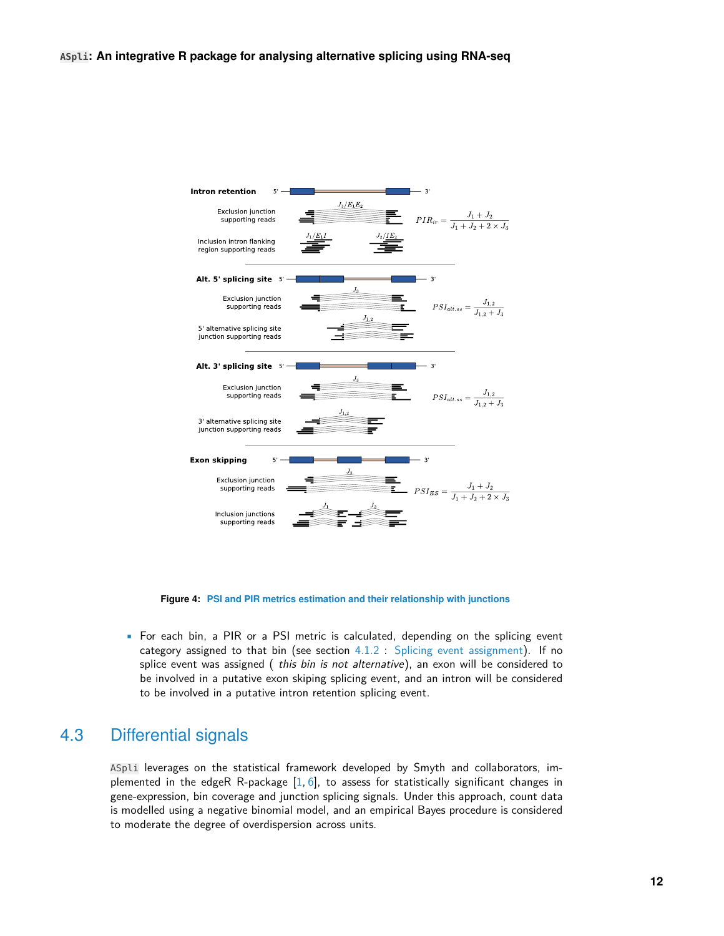<span id="page-11-1"></span>

**Figure 4: PSI and PIR metrics estimation and their relationship with junctions**

• For each bin, a PIR or a PSI metric is calculated, depending on the splicing event category assigned to that bin (see section [4.1.2](#page-6-0) : [Splicing event assignment\)](#page-6-0). If no splice event was assigned (*this bin is not alternative*), an exon will be considered to be involved in a putative exon skiping splicing event, and an intron will be considered to be involved in a putative intron retention splicing event.

# <span id="page-11-0"></span>4.3 Differential signals

ASpli leverages on the statistical framework developed by Smyth and collaborators, implemented in the edgeR R-package  $[1, 6]$  $[1, 6]$  $[1, 6]$ , to assess for statistically significant changes in gene-expression, bin coverage and junction splicing signals. Under this approach, count data is modelled using a negative binomial model, and an empirical Bayes procedure is considered to moderate the degree of overdispersion across units.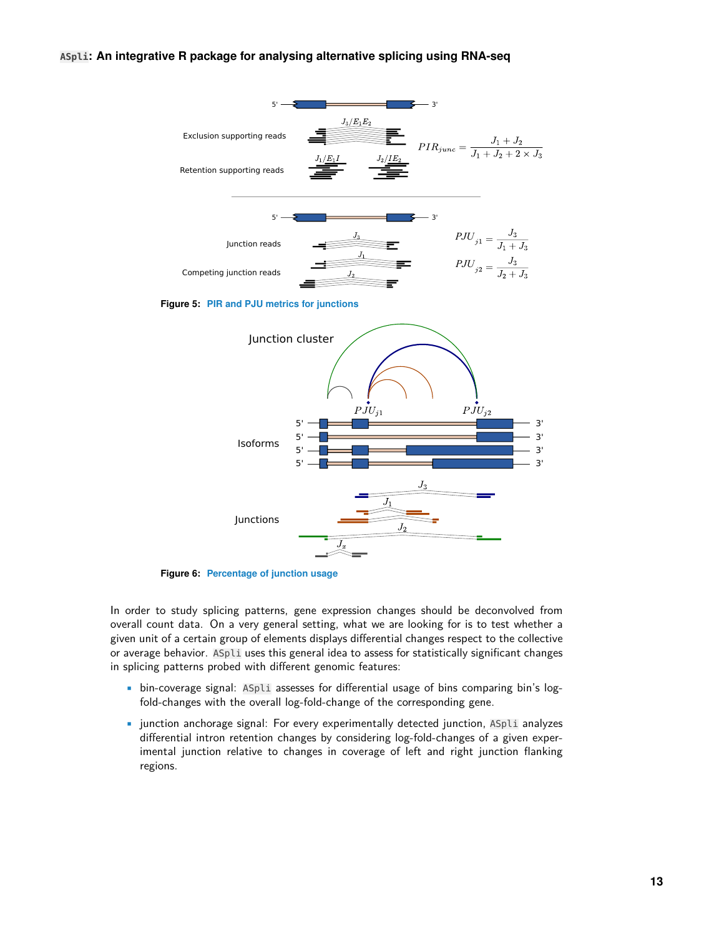<span id="page-12-0"></span>

<span id="page-12-1"></span>**Figure 5: PIR and PJU metrics for junctions**



**Figure 6: Percentage of junction usage**

In order to study splicing patterns, gene expression changes should be deconvolved from overall count data. On a very general setting, what we are looking for is to test whether a given unit of a certain group of elements displays differential changes respect to the collective or average behavior. ASpli uses this general idea to assess for statistically significant changes in splicing patterns probed with different genomic features:

- bin-coverage signal: ASpli assesses for differential usage of bins comparing bin's logfold-changes with the overall log-fold-change of the corresponding gene.
- junction anchorage signal: For every experimentally detected junction, ASpli analyzes differential intron retention changes by considering log-fold-changes of a given experimental junction relative to changes in coverage of left and right junction flanking regions.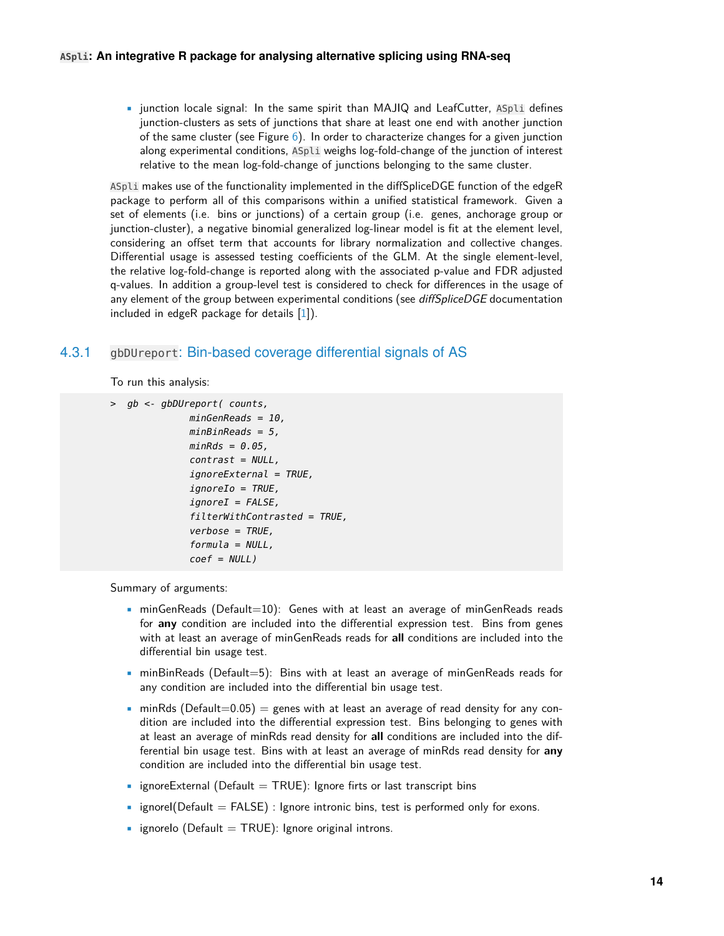• junction locale signal: In the same spirit than MAJIQ and LeafCutter, ASpli defines junction-clusters as sets of junctions that share at least one end with another junction of the same cluster (see Figure  $6$ ). In order to characterize changes for a given junction along experimental conditions, ASpli weighs log-fold-change of the junction of interest relative to the mean log-fold-change of junctions belonging to the same cluster.

ASpli makes use of the functionality implemented in the diffSpliceDGE function of the edgeR package to perform all of this comparisons within a unified statistical framework. Given a set of elements (i.e. bins or junctions) of a certain group (i.e. genes, anchorage group or junction-cluster), a negative binomial generalized log-linear model is fit at the element level, considering an offset term that accounts for library normalization and collective changes. Differential usage is assessed testing coefficients of the GLM. At the single element-level, the relative log-fold-change is reported along with the associated p-value and FDR adjusted q-values. In addition a group-level test is considered to check for differences in the usage of any element of the group between experimental conditions (see diffSpliceDGE documentation included in edgeR package for details [\[1\]](#page-34-0)).

### <span id="page-13-0"></span>4.3.1 gbDUreport: Bin-based coverage differential signals of AS

To run this analysis:

```
> gb <- gbDUreport( counts,
              minGenReads = 10,
              minBinkeads = 5,
              minRds = 0.05,
              contrast = NULL,ignoreExternal = TRUE,ignoreIo = TRUE,ignoreI = FALSE,filterWithContrasted = TRUE,
              verbose = TRUE,
              formula = NULL,
              coef = NULL)
```
Summary of arguments:

- minGenReads (Default=10): Genes with at least an average of minGenReads reads for **any** condition are included into the differential expression test. Bins from genes with at least an average of minGenReads reads for **all** conditions are included into the differential bin usage test.
- minBinReads (Default=5): Bins with at least an average of minGenReads reads for any condition are included into the differential bin usage test.
- minRds (Default=0.05) = genes with at least an average of read density for any condition are included into the differential expression test. Bins belonging to genes with at least an average of minRds read density for **all** conditions are included into the differential bin usage test. Bins with at least an average of minRds read density for **any** condition are included into the differential bin usage test.
- ignoreExternal (Default  $=$  TRUE): Ignore firts or last transcript bins
- **ignorel(Default**  $=$  **FALSE)** : Ignore intronic bins, test is performed only for exons.
- ignorelo (Default  $=$  TRUE): Ignore original introns.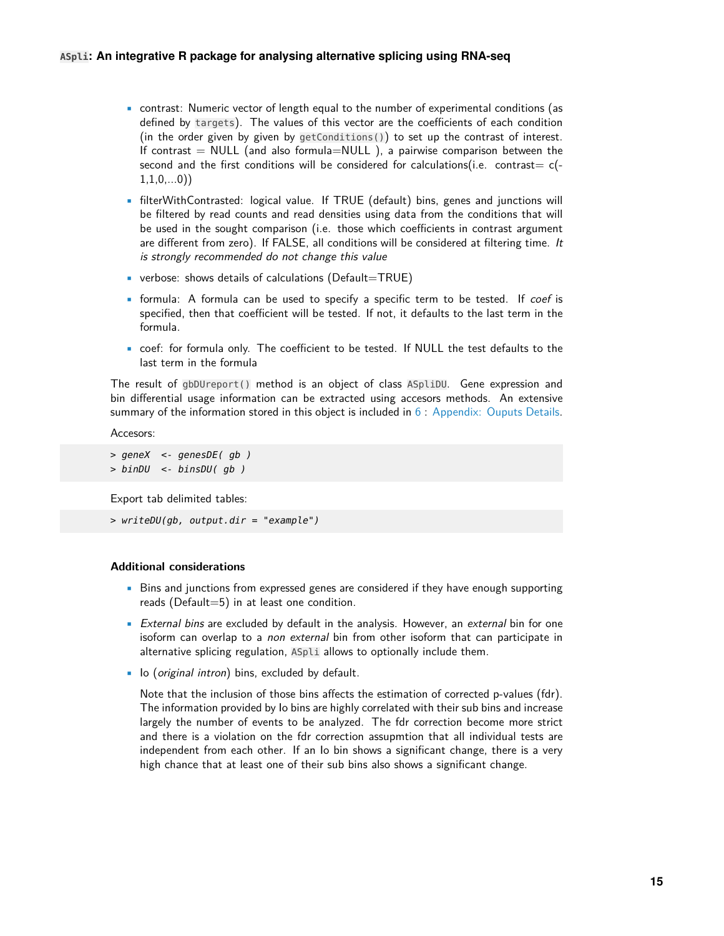- contrast: Numeric vector of length equal to the number of experimental conditions (as defined by targets). The values of this vector are the coefficients of each condition (in the order given by given by getConditions()) to set up the contrast of interest. If contrast  $=$  NULL (and also formula=NULL), a pairwise comparison between the second and the first conditions will be considered for calculations(i.e. contrast=  $c(-)$  $1,1,0,...0)$
- filterWithContrasted: logical value. If TRUE (default) bins, genes and junctions will be filtered by read counts and read densities using data from the conditions that will be used in the sought comparison (i.e. those which coefficients in contrast argument are different from zero). If FALSE, all conditions will be considered at filtering time. It is strongly recommended do not change this value
- verbose: shows details of calculations ( $Default = TRUE$ )
- formula: A formula can be used to specify a specific term to be tested. If coef is specified, then that coefficient will be tested. If not, it defaults to the last term in the formula.
- coef: for formula only. The coefficient to be tested. If NULL the test defaults to the last term in the formula

The result of gbDUreport() method is an object of class ASpliDU. Gene expression and bin differential usage information can be extracted using accesors methods. An extensive summary of the information stored in this object is included in  $6:$  $6:$  [Appendix: Ouputs Details.](#page-28-0)

Accesors:

```
> geneX <- genesDE( gb )
> binDU <- binsDU( gb )
```
Export tab delimited tables:

```
> writeDU(gb, output.dir = "example")
```
#### **Additional considerations**

- Bins and junctions from expressed genes are considered if they have enough supporting reads (Default=5) in at least one condition.
- External bins are excluded by default in the analysis. However, an external bin for one isoform can overlap to a non external bin from other isoform that can participate in alternative splicing regulation, ASpli allows to optionally include them.
- Io (*original intron*) bins, excluded by default.

<span id="page-14-0"></span>Note that the inclusion of those bins affects the estimation of corrected p-values (fdr). The information provided by Io bins are highly correlated with their sub bins and increase largely the number of events to be analyzed. The fdr correction become more strict and there is a violation on the fdr correction assupmtion that all individual tests are independent from each other. If an Io bin shows a significant change, there is a very high chance that at least one of their sub bins also shows a significant change.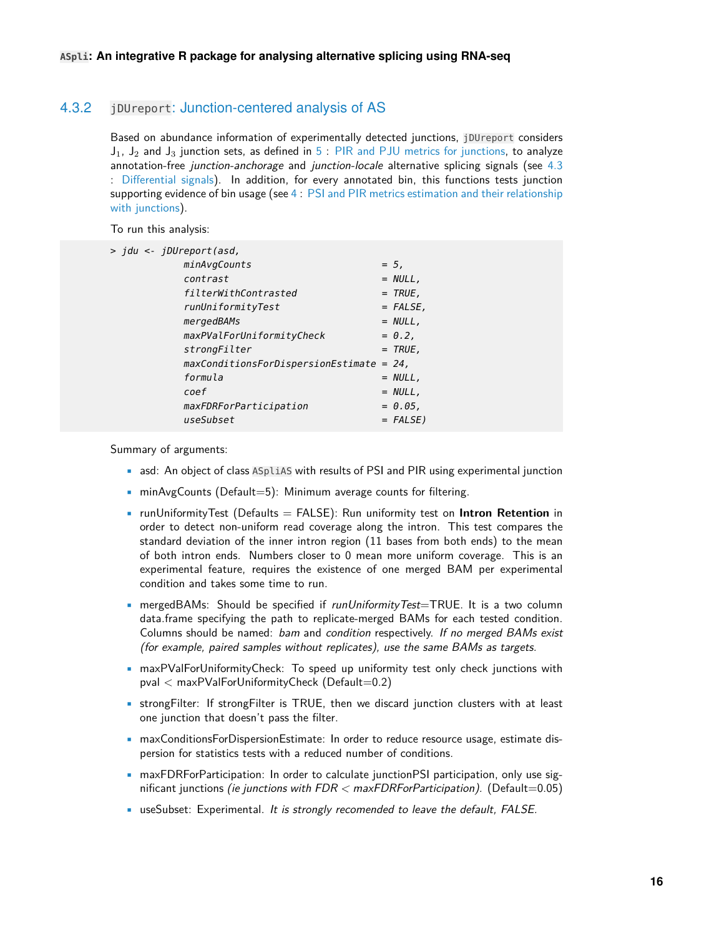## 4.3.2 jDUreport: Junction-centered analysis of AS

Based on abundance information of experimentally detected junctions, jDUreport considers  $J_1$ ,  $J_2$  and  $J_3$  junction sets, as defined in [5](#page-12-0) : [PIR and PJU metrics for junctions,](#page-12-0) to analyze annotation-free junction-anchorage and junction-locale alternative splicing signals (see [4.3](#page-11-0) : [Differential signals\)](#page-11-0). In addition, for every annotated bin, this functions tests junction supporting evidence of bin usage (see [4](#page-11-1) : [PSI and PIR metrics estimation and their relationship](#page-11-1) [with junctions\)](#page-11-1).

To run this analysis:

| > jdu <- jDUreport(asd,                   |            |
|-------------------------------------------|------------|
| minAvgCounts                              | $= 5.$     |
| contrast                                  | $= NULL,$  |
| filterWithContrasted                      | $=$ TRUE.  |
| runUniformityTest                         | $= FALSE,$ |
| mergedBAMs                                | $= NULL,$  |
| maxPValForUniformityCheck                 | $= 0.2.$   |
| strongFilter                              | $=$ TRUE.  |
| $maxConditionSForDispersonEstimate = 24,$ |            |
| formula                                   | $= NULL,$  |
| coef                                      | $= NULL,$  |
| maxFDRForParticipation                    | $= 0.05$ , |
| useSubset                                 | $= FALSE$  |

Summary of arguments:

- asd: An object of class ASpliAS with results of PSI and PIR using experimental junction
- $\blacksquare$  minAvgCounts (Default=5): Minimum average counts for filtering.
- runUniformityTest (Defaults = FALSE): Run uniformity test on **Intron Retention** in order to detect non-uniform read coverage along the intron. This test compares the standard deviation of the inner intron region (11 bases from both ends) to the mean of both intron ends. Numbers closer to 0 mean more uniform coverage. This is an experimental feature, requires the existence of one merged BAM per experimental condition and takes some time to run.
- mergedBAMs: Should be specified if *runUniformityTest*=TRUE. It is a two column data.frame specifying the path to replicate-merged BAMs for each tested condition. Columns should be named: bam and condition respectively. If no merged BAMs exist (for example, paired samples without replicates), use the same BAMs as targets.
- maxPValForUniformityCheck: To speed up uniformity test only check junctions with pval < maxPValForUniformityCheck (Default=0.2)
- strongFilter: If strongFilter is TRUE, then we discard junction clusters with at least one junction that doesn't pass the filter.
- maxConditionsForDispersionEstimate: In order to reduce resource usage, estimate dispersion for statistics tests with a reduced number of conditions.
- maxFDRForParticipation: In order to calculate junctionPSI participation, only use significant junctions *(ie junctions with FDR*  $<$  *maxFDRForParticipation).* (Default=0.05)
- **•** useSubset: Experimental. It is strongly recomended to leave the default, FALSE.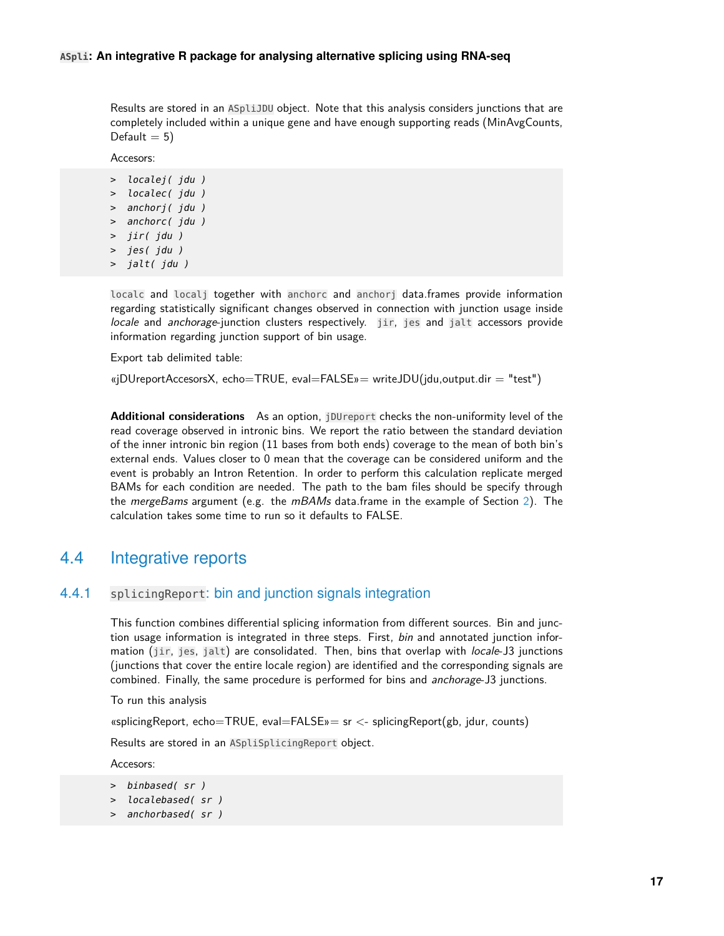Results are stored in an ASpliJDU object. Note that this analysis considers junctions that are completely included within a unique gene and have enough supporting reads (MinAvgCounts, Default  $= 5$ )

Accesors:

> localej( jdu )

- > localec( jdu )
- > anchorj( jdu )
- > anchorc( jdu )
- > jir( jdu )
- > jes( jdu )
- > jalt( jdu )

localc and localj together with anchorc and anchorj data.frames provide information regarding statistically significant changes observed in connection with junction usage inside locale and anchorage-junction clusters respectively. jir, jes and jalt accessors provide information regarding junction support of bin usage.

Export tab delimited table:

«jDUreportAccesorsX, echo=TRUE, eval=FALSE» = writeJDU(jdu,output.dir = "test")

**Additional considerations** As an option, jDUreport checks the non-uniformity level of the read coverage observed in intronic bins. We report the ratio between the standard deviation of the inner intronic bin region (11 bases from both ends) coverage to the mean of both bin's external ends. Values closer to 0 mean that the coverage can be considered uniform and the event is probably an Intron Retention. In order to perform this calculation replicate merged BAMs for each condition are needed. The path to the bam files should be specify through the mergeBams argument (e.g. the mBAMs data.frame in the example of Section [2\)](#page-1-1). The calculation takes some time to run so it defaults to FALSE.

# <span id="page-16-0"></span>4.4 Integrative reports

## 4.4.1 splicingReport: bin and junction signals integration

<span id="page-16-1"></span>This function combines differential splicing information from different sources. Bin and junction usage information is integrated in three steps. First, bin and annotated junction information (jir, jes, jalt) are consolidated. Then, bins that overlap with *locale-J3* junctions (junctions that cover the entire locale region) are identified and the corresponding signals are combined. Finally, the same procedure is performed for bins and anchorage-J3 junctions.

To run this analysis

«splicingReport, echo=TRUE, eval=FALSE»= sr <- splicingReport(gb, jdur, counts)

Results are stored in an ASpliSplicingReport object.

Accesors:

- > binbased( sr )
- > localebased( sr )
- > anchorbased( sr )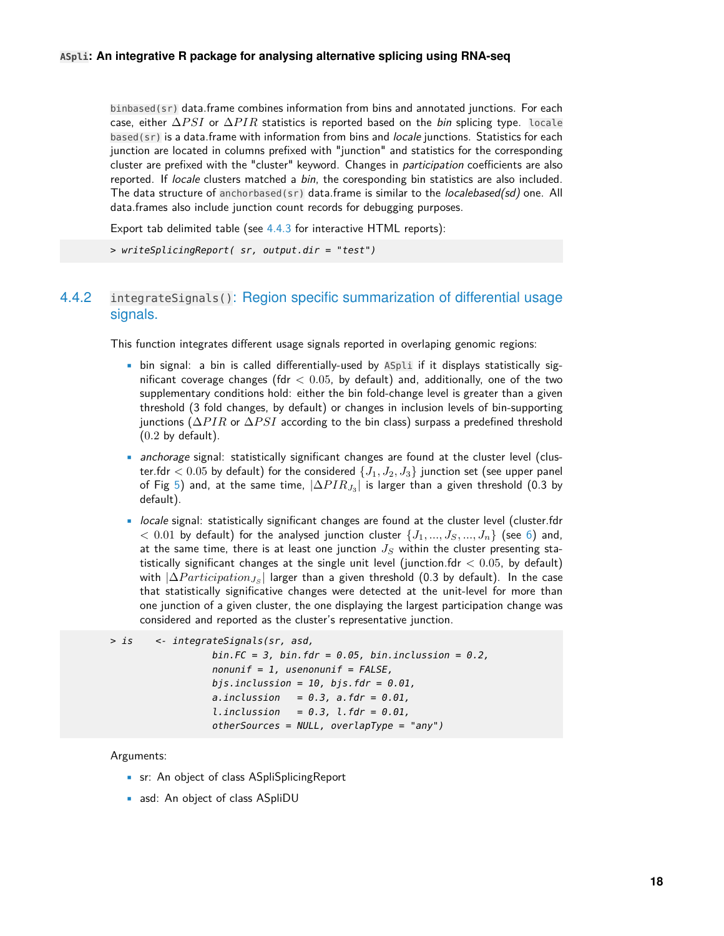binbased(sr) data.frame combines information from bins and annotated junctions. For each case, either  $\Delta PSI$  or  $\Delta PIR$  statistics is reported based on the bin splicing type. locale based(sr) is a data.frame with information from bins and *locale* junctions. Statistics for each junction are located in columns prefixed with "junction" and statistics for the corresponding cluster are prefixed with the "cluster" keyword. Changes in participation coefficients are also reported. If locale clusters matched a bin, the coresponding bin statistics are also included. The data structure of anchorbased(sr) data.frame is similar to the *localebased(sd)* one. All data.frames also include junction count records for debugging purposes.

Export tab delimited table (see [4.4.3](#page-19-0) for interactive HTML reports):

<span id="page-17-0"></span>> writeSplicingReport( sr, output.dir = "test")

# 4.4.2 integrateSignals(): Region specific summarization of differential usage signals.

This function integrates different usage signals reported in overlaping genomic regions:

- bin signal: a bin is called differentially-used by ASpli if it displays statistically significant coverage changes (fdr  $<$  0.05, by default) and, additionally, one of the two supplementary conditions hold: either the bin fold-change level is greater than a given threshold (3 fold changes, by default) or changes in inclusion levels of bin-supporting junctions ( $\Delta PIR$  or  $\Delta PSI$  according to the bin class) surpass a predefined threshold  $(0.2$  by default).
- anchorage signal: statistically significant changes are found at the cluster level (cluster.fdr  $< 0.05$  by default) for the considered  $\{J_1,J_2,J_3\}$  junction set (see upper panel of Fig [5\)](#page-12-0) and, at the same time,  $|\Delta PIR_{J_3}|$  is larger than a given threshold (0.3 by default).
- locale signal: statistically significant changes are found at the cluster level (cluster.fdr  $< 0.01$  by default) for the analysed junction cluster  $\{J_1, ..., J_S, ..., J_n\}$  (see [6\)](#page-12-1) and, at the same time, there is at least one junction  $J<sub>S</sub>$  within the cluster presenting statistically significant changes at the single unit level (junction.fdr  $< 0.05$ , by default) with  $|\Delta Partition_{J_S}|$  larger than a given threshold (0.3 by default). In the case that statistically significative changes were detected at the unit-level for more than one junction of a given cluster, the one displaying the largest participation change was considered and reported as the cluster's representative junction.

```
> is <- integrateSignals(sr, asd,
                  bin.FC = 3, bin.fdr = 0.05, bin.inclussion = 0.2,
                  nonunif = 1, usenonunif = FALSE,
                  bjs.inclussion = 10, bjs.fdr = 0.01,
                  a.inclussion = 0.3, a.fdr = 0.01,
                  l.inclusion = 0.3, l.fdr = 0.01,otherSources = NULL, overlapType = "any")
```
Arguments:

- sr: An object of class ASpliSplicingReport
- asd: An object of class ASpliDU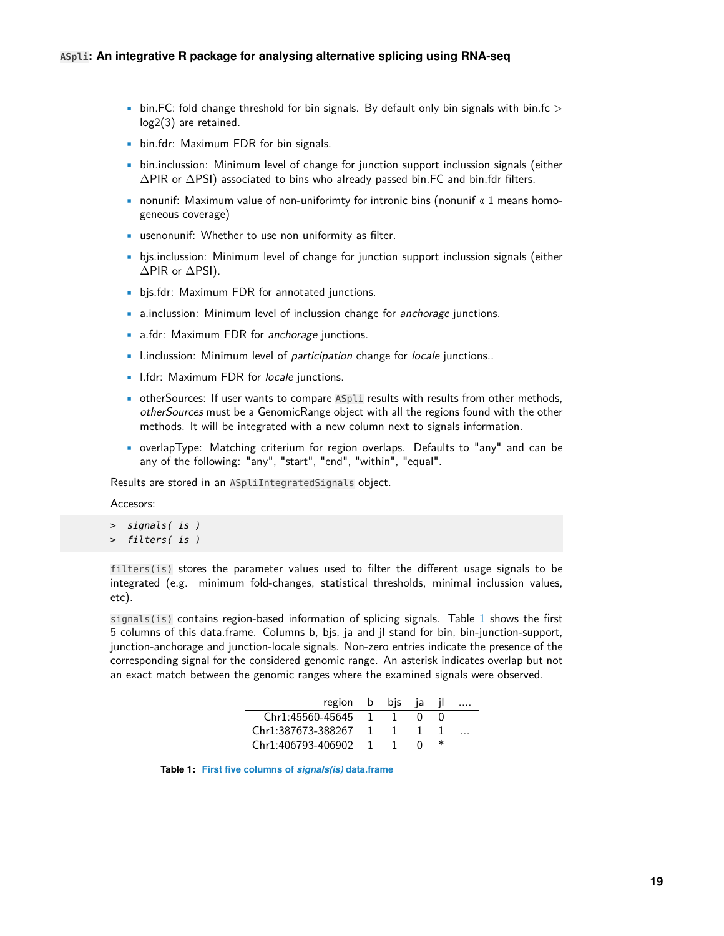- bin.FC: fold change threshold for bin signals. By default only bin signals with bin.fc  $>$ log2(3) are retained.
- bin.fdr: Maximum FDR for bin signals.
- bin.inclussion: Minimum level of change for junction support inclussion signals (either ∆PIR or ∆PSI) associated to bins who already passed bin.FC and bin.fdr filters.
- nonunif: Maximum value of non-uniforimty for intronic bins (nonunif « 1 means homogeneous coverage)
- usenonunif: Whether to use non uniformity as filter.
- bjs.inclussion: Minimum level of change for junction support inclussion signals (either ∆PIR or ∆PSI).
- bjs.fdr: Maximum FDR for annotated junctions.
- a.inclussion: Minimum level of inclussion change for *anchorage* junctions.
- a.fdr: Maximum FDR for anchorage junctions.
- I.inclussion: Minimum level of *participation* change for *locale* junctions..
- **I.fdr: Maximum FDR for locale junctions.**
- otherSources: If user wants to compare ASpli results with results from other methods, otherSources must be a GenomicRange object with all the regions found with the other methods. It will be integrated with a new column next to signals information.
- overlapType: Matching criterium for region overlaps. Defaults to "any" and can be any of the following: "any", "start", "end", "within", "equal".

Results are stored in an ASpliIntegratedSignals object.

Accesors:

- > signals( is )
- > filters( is )

filters(is) stores the parameter values used to filter the different usage signals to be integrated (e.g. minimum fold-changes, statistical thresholds, minimal inclussion values, etc).

<span id="page-18-0"></span>signals(is) contains region-based information of splicing signals. Table [1](#page-18-0) shows the first 5 columns of this data.frame. Columns b, bjs, ja and jl stand for bin, bin-junction-support, junction-anchorage and junction-locale signals. Non-zero entries indicate the presence of the corresponding signal for the considered genomic range. An asterisk indicates overlap but not an exact match between the genomic ranges where the examined signals were observed.

| region b bis ia      |  |  |  |
|----------------------|--|--|--|
| Chr1:45560-45645 1   |  |  |  |
| Chr1:387673-388267   |  |  |  |
| Chr1:406793-406902 1 |  |  |  |

**Table 1: First five columns of** *signals(is)* **data.frame**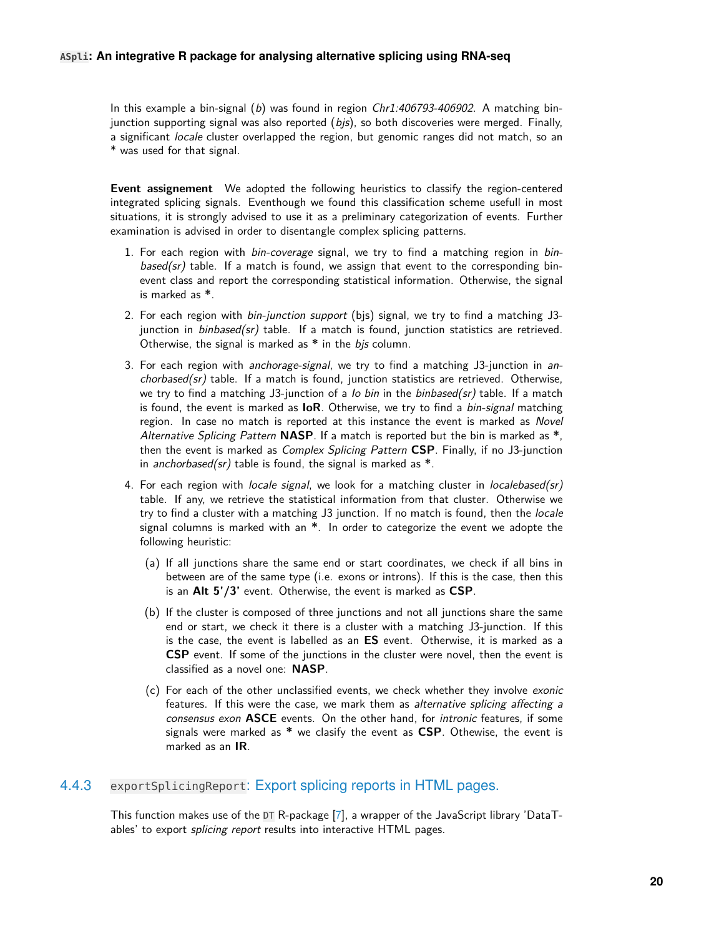In this example a bin-signal  $(b)$  was found in region  $Chr1:406793-406902$ . A matching binjunction supporting signal was also reported  $(bjs)$ , so both discoveries were merged. Finally, a significant locale cluster overlapped the region, but genomic ranges did not match, so an \* was used for that signal.

**Event assignement** We adopted the following heuristics to classify the region-centered integrated splicing signals. Eventhough we found this classification scheme usefull in most situations, it is strongly advised to use it as a preliminary categorization of events. Further examination is advised in order to disentangle complex splicing patterns.

- 1. For each region with *bin-coverage* signal, we try to find a matching region in *bin* $based(sr)$  table. If a match is found, we assign that event to the corresponding binevent class and report the corresponding statistical information. Otherwise, the signal is marked as **\***.
- 2. For each region with *bin-junction support* (bis) signal, we try to find a matching J3junction in  $binbased(sr)$  table. If a match is found, junction statistics are retrieved. Otherwise, the signal is marked as **\*** in the bjs column.
- 3. For each region with anchorage-signal, we try to find a matching J3-junction in an $chorbased(sr)$  table. If a match is found, junction statistics are retrieved. Otherwise, we try to find a matching J3-junction of a *lo bin* in the *binbased(sr)* table. If a match is found, the event is marked as **IoR**. Otherwise, we try to find a bin-signal matching region. In case no match is reported at this instance the event is marked as Novel Alternative Splicing Pattern **NASP**. If a match is reported but the bin is marked as **\***, then the event is marked as Complex Splicing Pattern **CSP**. Finally, if no J3-junction in anchorbased(sr) table is found, the signal is marked as **\***.
- 4. For each region with *locale signal*, we look for a matching cluster in *localebased(sr)* table. If any, we retrieve the statistical information from that cluster. Otherwise we try to find a cluster with a matching J3 junction. If no match is found, then the locale signal columns is marked with an **\***. In order to categorize the event we adopte the following heuristic:
	- (a) If all junctions share the same end or start coordinates, we check if all bins in between are of the same type (i.e. exons or introns). If this is the case, then this is an **Alt 5'/3'** event. Otherwise, the event is marked as **CSP**.
	- (b) If the cluster is composed of three junctions and not all junctions share the same end or start, we check it there is a cluster with a matching J3-junction. If this is the case, the event is labelled as an **ES** event. Otherwise, it is marked as a **CSP** event. If some of the junctions in the cluster were novel, then the event is classified as a novel one: **NASP**.
	- (c) For each of the other unclassified events, we check whether they involve exonic features. If this were the case, we mark them as alternative splicing affecting a consensus exon **ASCE** events. On the other hand, for intronic features, if some signals were marked as **\*** we clasify the event as **CSP**. Othewise, the event is marked as an **IR**.

## <span id="page-19-0"></span>4.4.3 exportSplicingReport: Export splicing reports in HTML pages.

This function makes use of the DT R-package [\[7\]](#page-35-0), a wrapper of the JavaScript library 'DataTables' to export *splicing report* results into interactive HTML pages.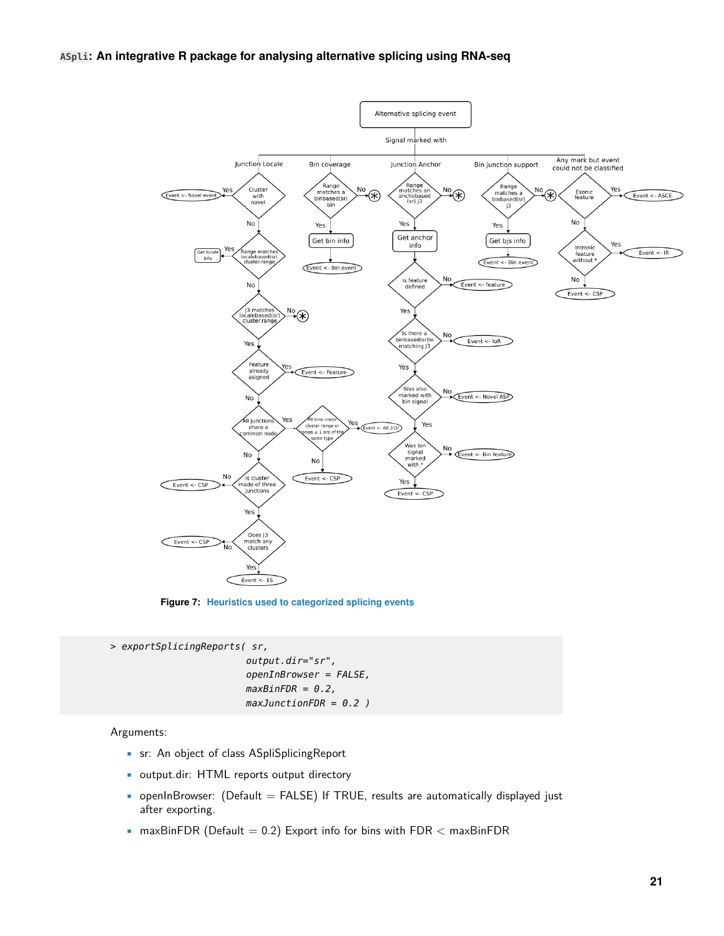

**Figure 7: Heuristics used to categorized splicing events**

> exportSplicingReports( sr,

output.dir="sr", openInBrowser = FALSE,  $maxBinFDR = 0.2$ ,  $maxJunctionFDR = 0.2$ )

Arguments:

- sr: An object of class ASpliSplicingReport
- output.dir: HTML reports output directory
- openInBrowser: (Default  $=$  FALSE) If TRUE, results are automatically displayed just after exporting.
- maxBinFDR (Default  $= 0.2$ ) Export info for bins with FDR  $<$  maxBinFDR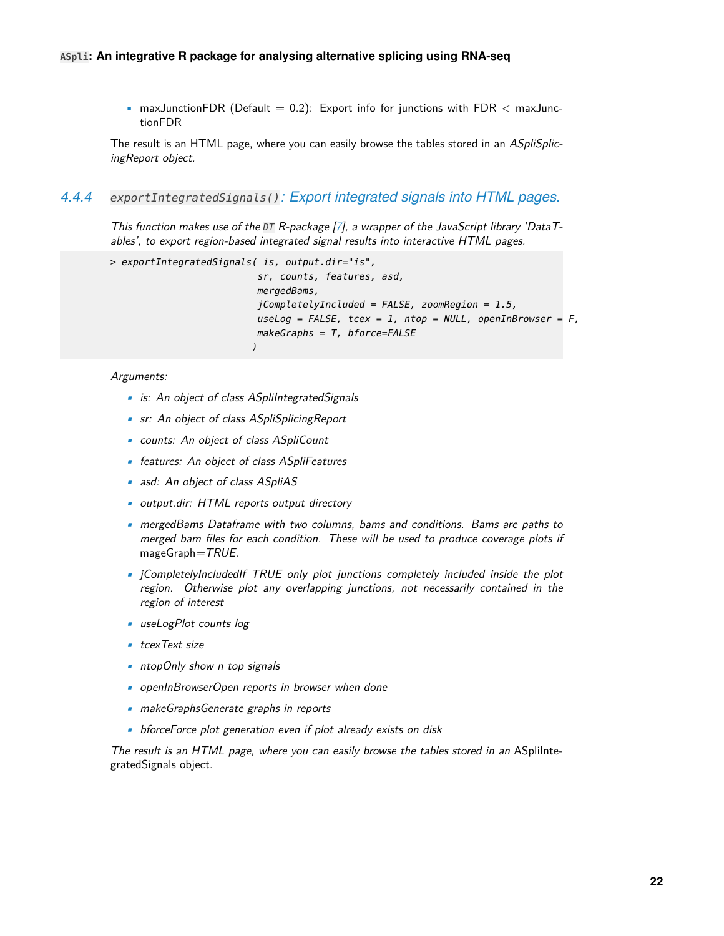• maxJunctionFDR (Default  $= 0.2$ ): Export info for junctions with FDR  $<$  maxJunctionFDR

<span id="page-21-0"></span>The result is an HTML page, where you can easily browse the tables stored in an ASpliSplicingReport object.

### *4.4.4* exportIntegratedSignals()*: Export integrated signals into HTML pages.*

This function makes use of the DT R-package [\[7\]](#page-35-0), a wrapper of the JavaScript library 'DataTables', to export region-based integrated signal results into interactive HTML pages.

```
> exportIntegratedSignals( is, output.dir="is",
                          sr, counts, features, asd,
                          mergedBams,
                          jCompletelyIncluded = FALSE, zoomRegion = 1.5,
                          useLog = FALSE, tcex = 1, ntop = NULL, openInBrowser = F,
                          makeGraphs = T, bforce=FALSE
                         )
```
#### Arguments:

- is: An object of class ASpliIntegratedSignals
- sr: An object of class ASpliSplicingReport
- counts: An object of class ASpliCount
- features: An object of class ASpliFeatures
- asd: An object of class ASpliAS
- output.dir: HTML reports output directory
- mergedBams Dataframe with two columns, bams and conditions. Bams are paths to merged bam files for each condition. These will be used to produce coverage plots if mageGraph=TRUE.
- jCompletelyIncludedIf TRUE only plot junctions completely included inside the plot region. Otherwise plot any overlapping junctions, not necessarily contained in the region of interest
- useLogPlot counts log
- tcexText size
- ntopOnly show n top signals
- openInBrowserOpen reports in browser when done
- makeGraphsGenerate graphs in reports
- bforceForce plot generation even if plot already exists on disk

The result is an HTML page, where you can easily browse the tables stored in an ASpliIntegratedSignals object.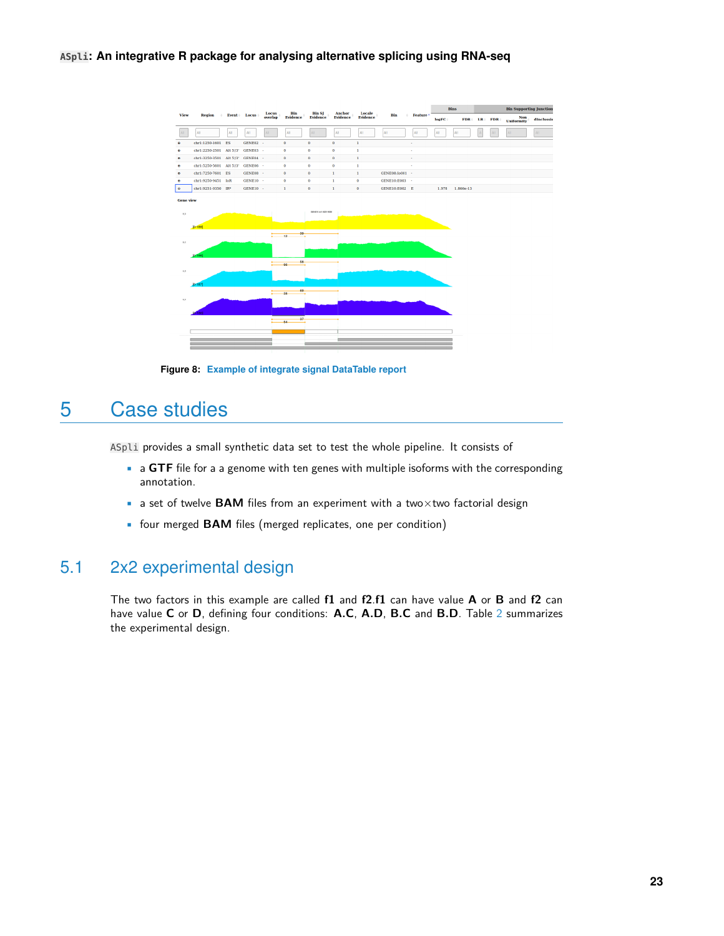|                                   |                                   |     |          |                  |                                   |                           |                                  |                    |                |                  |           |           |                                                                                                                                                                                                                                                                                                                                                                                                                                                 |     |                                 |            |  |  | <b>Bins</b> |  | <b>Bin Supporting Junction:</b> |  |  |
|-----------------------------------|-----------------------------------|-----|----------|------------------|-----------------------------------|---------------------------|----------------------------------|--------------------|----------------|------------------|-----------|-----------|-------------------------------------------------------------------------------------------------------------------------------------------------------------------------------------------------------------------------------------------------------------------------------------------------------------------------------------------------------------------------------------------------------------------------------------------------|-----|---------------------------------|------------|--|--|-------------|--|---------------------------------|--|--|
| View                              | Region   Event   Locus            |     |          | Locus<br>overlap | Bin<br><b>Evidence</b>            | Bin SJ<br><b>Evidence</b> | <b>Anchor</b><br><b>Evidence</b> | Locale<br>Evidence | Bin            | <b>Feature</b> 4 | $logFC +$ |           | $\mathbf{FDR} \doteq \mathbf{LR} \doteq \mathbf{FDR} \doteq \mathbf{Q} \mathbf{PR} \doteq \mathbf{Q} \mathbf{PR} \doteq \mathbf{Q} \mathbf{PR} \mathbf{PR} \mathbf{PR} \mathbf{PR} \mathbf{PR} \mathbf{PR} \mathbf{PR} \mathbf{PR} \mathbf{PR} \mathbf{PR} \mathbf{PR} \mathbf{PR} \mathbf{PR} \mathbf{PR} \mathbf{PR} \mathbf{PR} \mathbf{PR} \mathbf{PR} \mathbf{PR} \mathbf{PR} \mathbf{PR} \mathbf{PR} \mathbf{PR} \mathbf{PR} \mathbf{PR}$ |     | <b>Non</b><br><b>Uniformity</b> | dInclussio |  |  |             |  |                                 |  |  |
| AII.                              | All                               | All | All      | All              | All                               | AII                       | All                              | All                | AII            | AII              | All       | AII       | $\Lambda$                                                                                                                                                                                                                                                                                                                                                                                                                                       | AII | AII                             | All        |  |  |             |  |                                 |  |  |
| ۰                                 | chr1:1250-1601 ES                 |     | GENE02 - |                  | $\mathbf{0}$                      | $\bullet$                 | $\bullet$                        | $\mathbf{1}$       |                | ٠                |           |           |                                                                                                                                                                                                                                                                                                                                                                                                                                                 |     |                                 |            |  |  |             |  |                                 |  |  |
| $\bullet$                         | chr1:2250-2501 Alt 5'/3' GENE03 - |     |          |                  | $\bf{0}$                          | $\bullet$                 | $\bullet$                        | $\mathbf 1$        |                | ÷                |           |           |                                                                                                                                                                                                                                                                                                                                                                                                                                                 |     |                                 |            |  |  |             |  |                                 |  |  |
| ۰                                 | chr1:3250-3501 Alt 5'/3' GENE04 - |     |          |                  | $\bf{0}$                          | $\bf{0}$                  | $\bullet$                        | 1                  |                | ×                |           |           |                                                                                                                                                                                                                                                                                                                                                                                                                                                 |     |                                 |            |  |  |             |  |                                 |  |  |
| $\bullet$                         | chr1:5250-5601 Alt 5'/3' GENE06 - |     |          |                  | $\bullet$                         | $\bullet$                 | $\bullet$                        | $\mathbf{1}$       |                | ÷                |           |           |                                                                                                                                                                                                                                                                                                                                                                                                                                                 |     |                                 |            |  |  |             |  |                                 |  |  |
| ٠                                 | chr1:7250-7601 ES                 |     | GENE08 - |                  | $\mathbf{0}$                      | $\mathbf{0}$              | $\mathbf{I}$                     | $\mathbf{1}$       | GENE08:10001 . |                  |           |           |                                                                                                                                                                                                                                                                                                                                                                                                                                                 |     |                                 |            |  |  |             |  |                                 |  |  |
| ٠                                 | chr1:9250-9451 IoR                |     | GENE10 - |                  | $\bullet$                         | $\bullet$                 | $\mathbf{1}$                     | $\bullet$          | GENE10:E003 -  |                  |           |           |                                                                                                                                                                                                                                                                                                                                                                                                                                                 |     |                                 |            |  |  |             |  |                                 |  |  |
| $\ddot{\mathbf{e}}$               | chr1:9251-9350 IR*                |     | GENE10 - |                  | $\mathbf{1}$                      | $\mathbf 0$               | $\mathbf{1}$                     | $\mathbf 0$        | GENE10:E002 E  |                  | 1.978     | 1.866e-13 |                                                                                                                                                                                                                                                                                                                                                                                                                                                 |     |                                 |            |  |  |             |  |                                 |  |  |
| $0.9$<br>$\theta, \theta$<br>A.P. | [0.189]<br>[0-196]<br>[0.187]     |     |          |                  | 39<br>12<br>-68<br>96<br>69<br>38 | OENE10 chr1:9251-9250     |                                  |                    |                |                  |           |           |                                                                                                                                                                                                                                                                                                                                                                                                                                                 |     |                                 |            |  |  |             |  |                                 |  |  |
| $\Lambda, \mathbb{C}$             |                                   |     |          |                  | 37<br>64                          |                           |                                  |                    |                |                  |           |           |                                                                                                                                                                                                                                                                                                                                                                                                                                                 |     |                                 |            |  |  |             |  |                                 |  |  |

**Figure 8: Example of integrate signal DataTable report**

# 5 Case studies

<span id="page-22-0"></span>ASpli provides a small synthetic data set to test the whole pipeline. It consists of

- a **GTF** file for a a genome with ten genes with multiple isoforms with the corresponding annotation.
- a set of twelve **BAM** files from an experiment with a two×two factorial design
- <span id="page-22-1"></span>• four merged **BAM** files (merged replicates, one per condition)

# 5.1 2x2 experimental design

The two factors in this example are called **f1** and **f2**.**f1** can have value **A** or **B** and **f2** can have value **C** or **D**, defining four conditions: **A.C**, **A.D**, **B.C** and **B.D**. Table [2](#page-23-0) summarizes the experimental design.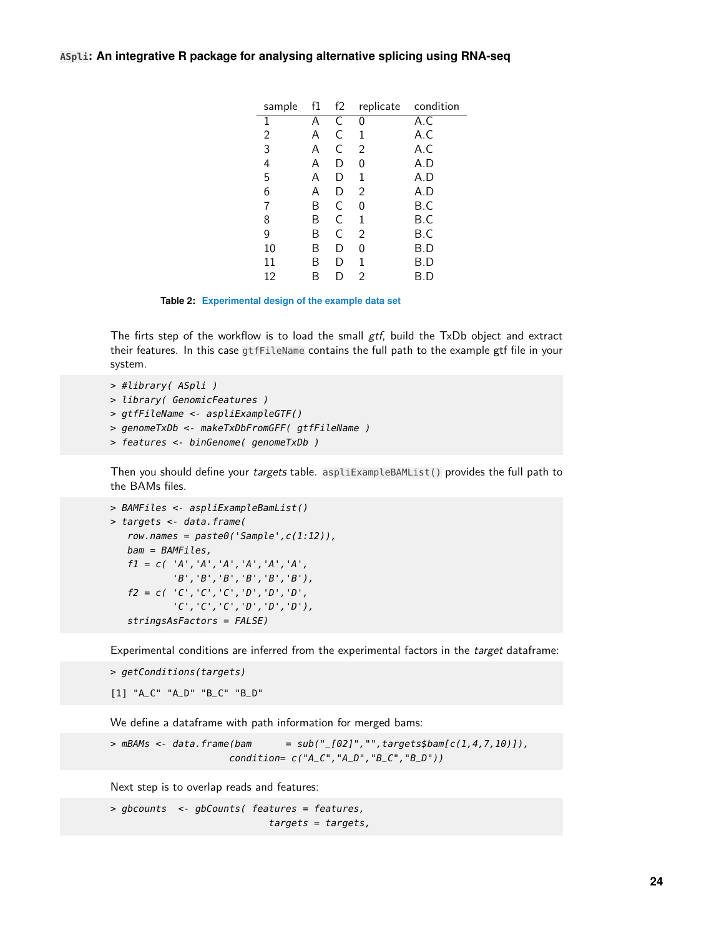<span id="page-23-0"></span>

| sample         | f1 | f2 | replicate | condition |
|----------------|----|----|-----------|-----------|
| 1              | А  | C  | 0         | A.C       |
| $\overline{2}$ | А  | C  | 1         | A.C       |
| 3              | А  | C  | 2         | A.C       |
| 4              | А  | D  | 0         | A.D       |
| 5              | А  | D  | 1         | A.D       |
| 6              | А  | D  | 2         | A.D       |
| 7              | Β  | C  | 0         | B.C       |
| 8              | Β  | C  | 1         | B.C       |
| 9              | B  | C  | 2         | B.C       |
| 10             | Β  | D  | 0         | B.D       |
| 11             | B  | D  | 1         | B.D       |
| 12             | B  | I) | 2         | B.D       |

**Table 2: Experimental design of the example data set**

The firts step of the workflow is to load the small  $gtf$ , build the  $TxDb$  object and extract their features. In this case gtfFileName contains the full path to the example gtf file in your system.

> #library( ASpli ) > library( GenomicFeatures ) > gtfFileName <- aspliExampleGTF() > genomeTxDb <- makeTxDbFromGFF( gtfFileName ) > features <- binGenome( genomeTxDb )

Then you should define your targets table. aspliExampleBAMList() provides the full path to the BAMs files.

```
> BAMFiles <- aspliExampleBamList()
> targets <- data.frame(
   row.names = paste0('Sample', c(1:12)),bam = BAMFiles,
   f1 = c('A', 'A', 'A', 'A', 'A', 'A', 'A','B','B','B','B','B','B'),
   f2 = c('C', 'C', 'C', 'D', 'D', 'D', 'D','C','C','C','D','D','D'),
   stringsAsFactors = FALSE)
```
Experimental conditions are inferred from the experimental factors in the target dataframe:

```
> getConditions(targets)
```
[1] "A\_C" "A\_D" "B\_C" "B\_D"

We define a dataframe with path information for merged bams:

 $>$  mBAMs <- data.frame(bam = sub(" $_{-}[02]$ ","",targets\$bam[c(1,4,7,10)]), condition=  $c("A_C", "A_D", "B_C", "B_D")$ )

Next step is to overlap reads and features:

> gbcounts <- gbCounts( features = features, targets = targets,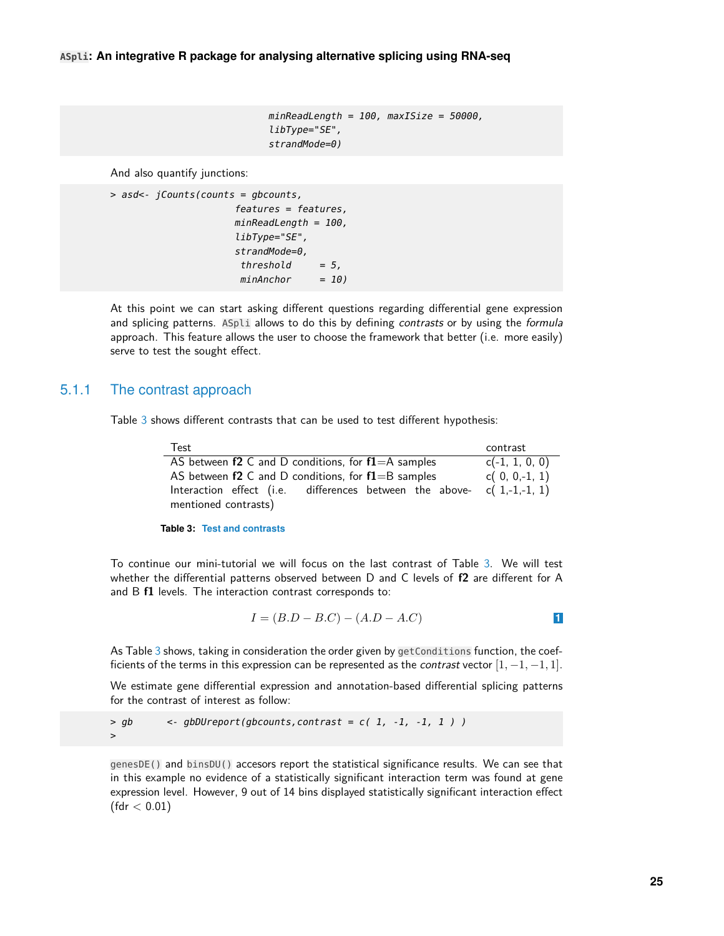```
minReadLength = 100, maxISize = 50000,
libType="SE",
strandMode=0)
```
And also quantify junctions:

```
> asd<- jCounts(counts = gbcounts,
                     features = features,
                     minReadLength = 100,libType="SE",
                     strandMode=0,
                      threshold = 5,
                      minAnother = 10)
```
<span id="page-24-0"></span>At this point we can start asking different questions regarding differential gene expression and splicing patterns. ASpli allows to do this by defining contrasts or by using the formula approach. This feature allows the user to choose the framework that better (i.e. more easily) serve to test the sought effect.

## 5.1.1 The contrast approach

<span id="page-24-1"></span>Table [3](#page-24-1) shows different contrasts that can be used to test different hypothesis:

| Test                                                       | contrast         |
|------------------------------------------------------------|------------------|
| AS between $f2$ C and D conditions, for $f1 = A$ samples   | $c(-1, 1, 0, 0)$ |
| AS between $f2$ C and D conditions, for $f1 = B$ samples   | $c(0, 0, -1, 1)$ |
| Interaction effect (i.e.<br>differences between the above- | c( $1,-1,-1,1$ ) |
| mentioned contrasts)                                       |                  |

**Table 3: Test and contrasts**

To continue our mini-tutorial we will focus on the last contrast of Table [3.](#page-24-1) We will test whether the differential patterns observed between D and C levels of **f2** are different for A and B **f1** levels. The interaction contrast corresponds to:

$$
I = (B.D - B.C) - (A.D - A.C)
$$

As Table [3](#page-24-1) shows, taking in consideration the order given by getConditions function, the coefficients of the terms in this expression can be represented as the *contrast* vector  $[1, -1, -1, 1]$ .

We estimate gene differential expression and annotation-based differential splicing patterns for the contrast of interest as follow:

```
> gb <- gbDUreport(gbcounts, contrast = c( 1, -1, -1, 1 ) )
>
```
genesDE() and binsDU() accesors report the statistical significance results. We can see that in this example no evidence of a statistically significant interaction term was found at gene expression level. However, 9 out of 14 bins displayed statistically significant interaction effect  $(fdr < 0.01)$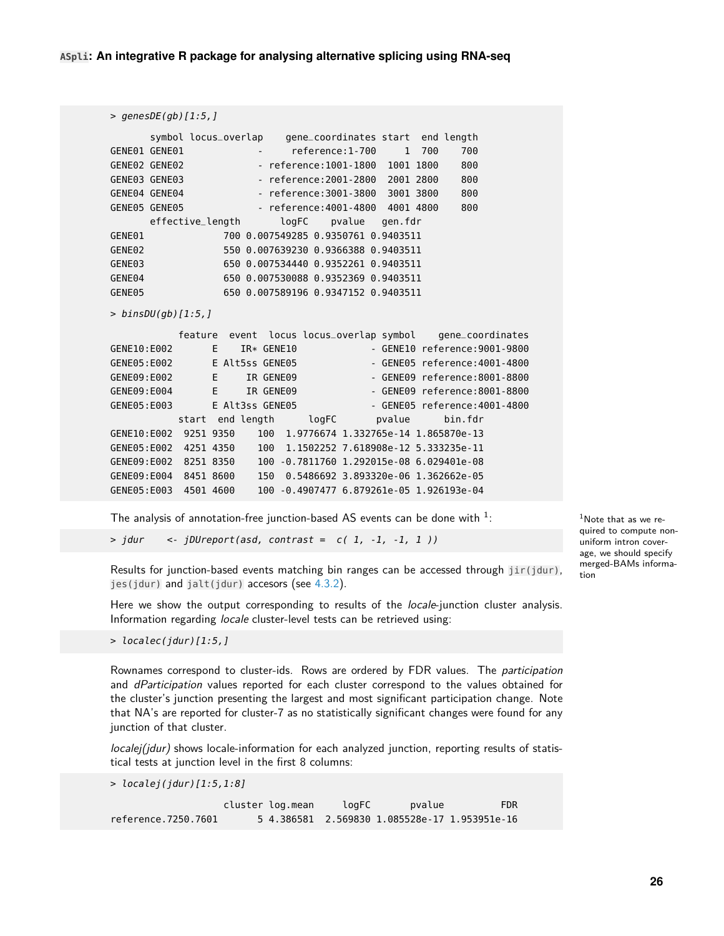```
> genesDE(gb)[1:5,]
     symbol locus_overlap gene_coordinates start end length
GENE01 GENE01 - reference:1-700 1 700 700
GENE02 GENE02 - reference:1001-1800 1001 1800 800
GENE03 GENE03 - reference:2001-2800 2001 2800 800
GENE04 GENE04 - reference:3001-3800 3001 3800 800
GENE05 GENE05 - reference:4001-4800 4001 4800 800
     effective_length logFC pvalue gen.fdr
GENE01 700 0.007549285 0.9350761 0.9403511
GENE02 550 0.007639230 0.9366388 0.9403511
GENE03 650 0.007534440 0.9352261 0.9403511
GENE04 650 0.007530088 0.9352369 0.9403511
GENE05 650 0.007589196 0.9347152 0.9403511
> binsDU(gb)[1:5,]
         feature event locus locus_overlap symbol gene_coordinates
GENE10:E002 E IR* GENE10 - GENE10 reference:9001-9800
GENE05:E002 E Alt5ss GENE05 - GENE05 reference:4001-4800
GENE09:E002 E IR GENE09 - GENE09 reference:8001-8800
GENE09:E004 E IR GENE09 - GENE09 reference:8001-8800
GENE05:E003 E Alt3ss GENE05 - GENE05 reference:4001-4800
         start end length logFC pvalue bin.fdr
GENE10:E002 9251 9350 100 1.9776674 1.332765e-14 1.865870e-13
GENE05:E002 4251 4350 100 1.1502252 7.618908e-12 5.333235e-11
GENE09:E002 8251 8350 100 -0.7811760 1.292015e-08 6.029401e-08
GENE09:E004 8451 8600 150 0.5486692 3.893320e-06 1.362662e-05
GENE05:E003 4501 4600 100 -0.4907477 6.879261e-05 1.926193e-04
```
The analysis of annotation-free junction-based AS events can be done with  $^{\rm 1.}$ 

 $>$  jdur <- jDUreport(asd, contrast = c( 1, -1, -1, 1 ))

<sup>1</sup>Note that as we required to compute nonuniform intron coverage, we should specify merged-BAMs information

Results for junction-based events matching bin ranges can be accessed through jir(jdur), jes(jdur) and jalt(jdur) accesors (see [4.3.2\)](#page-14-0).

Here we show the output corresponding to results of the *locale*-junction cluster analysis. Information regarding locale cluster-level tests can be retrieved using:

> localec(jdur)[1:5,]

Rownames correspond to cluster-ids. Rows are ordered by FDR values. The participation and *dParticipation* values reported for each cluster correspond to the values obtained for the cluster's junction presenting the largest and most significant participation change. Note that NA's are reported for cluster-7 as no statistically significant changes were found for any junction of that cluster.

localej(jdur) shows locale-information for each analyzed junction, reporting results of statistical tests at junction level in the first 8 columns:

> localej(jdur)[1:5,1:8]

|                     | cluster log.mean | loaFC | pvalue | FDR. |
|---------------------|------------------|-------|--------|------|
| reference.7250.7601 |                  |       |        |      |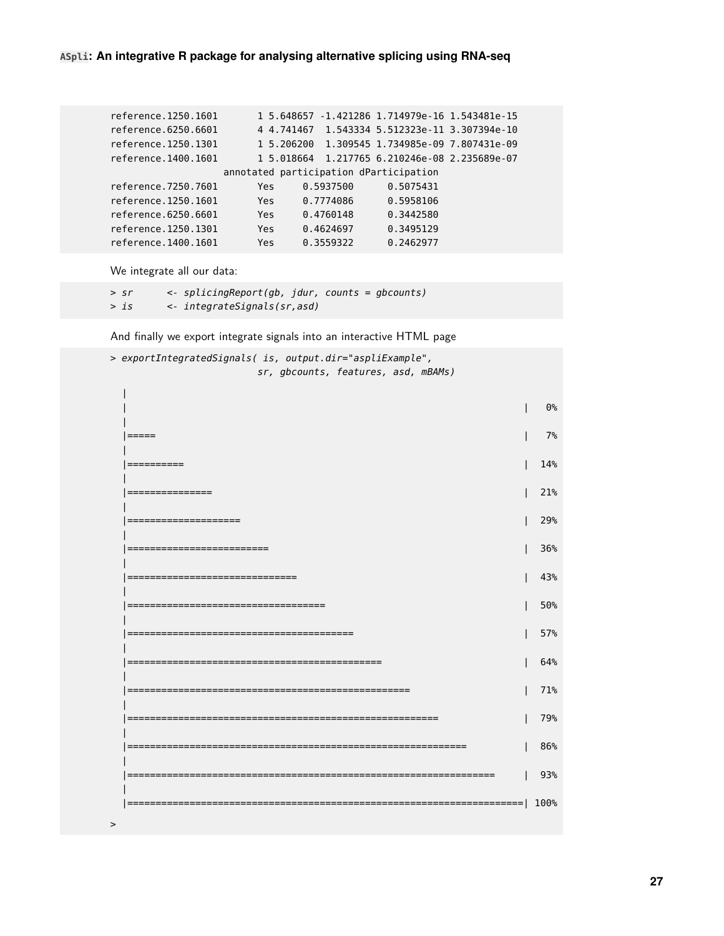```
reference.1250.1601 1 5.648657 -1.421286 1.714979e-16 1.543481e-15
reference.6250.6601 4 4.741467 1.543334 5.512323e-11 3.307394e-10
reference.1250.1301 1 5.206200 1.309545 1.734985e-09 7.807431e-09
reference.1400.1601 1 5.018664 1.217765 6.210246e-08 2.235689e-07
               annotated participation dParticipation
reference.7250.7601 Yes 0.5937500 0.5075431
reference.1250.1601 Yes 0.7774086 0.5958106
reference.6250.6601 Yes 0.4760148 0.3442580
reference.1250.1301 Yes 0.4624697 0.3495129
reference.1400.1601 Yes 0.3559322 0.2462977
```
We integrate all our data:

> sr <- splicingReport(gb, jdur, counts = gbcounts) > is <- integrateSignals(sr,asd)

And finally we export integrate signals into an interactive HTML page

<span id="page-26-0"></span>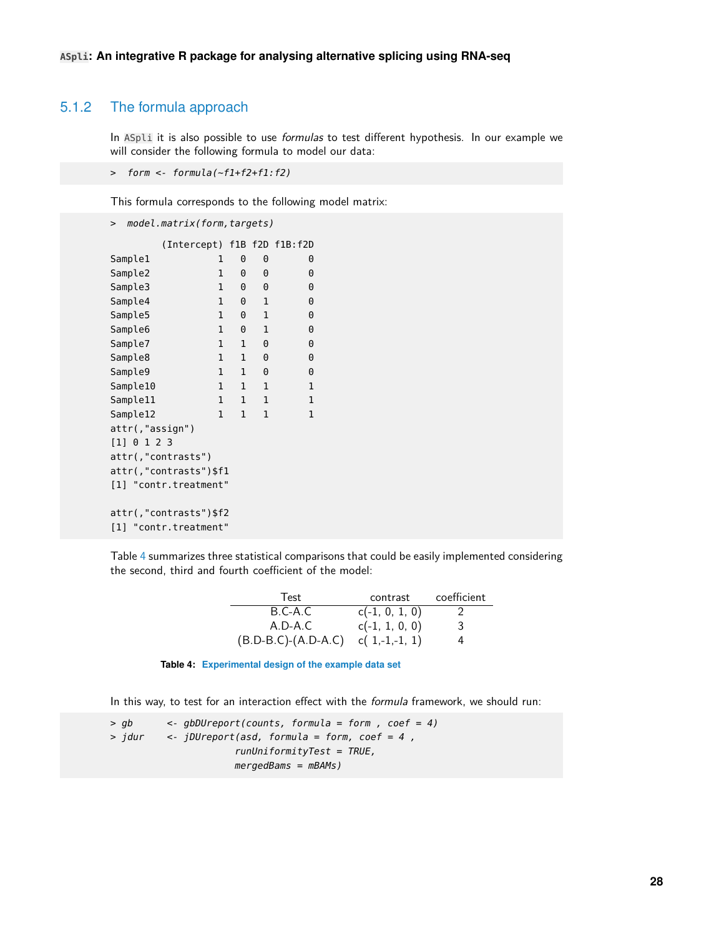# 5.1.2 The formula approach

In ASpli it is also possible to use *formulas* to test different hypothesis. In our example we will consider the following formula to model our data:

```
> form <- formula(~f1+f2+f1:f2)
```
This formula corresponds to the following model matrix:

```
> model.matrix(form,targets)
```

|                 | (Intercept) f1B f2D f1B:f2D |              |              |              |  |
|-----------------|-----------------------------|--------------|--------------|--------------|--|
| Sample1         | 1                           | 0            | 0            | 0            |  |
| Sample2         | $\mathbf{1}$                | 0            | 0            | 0            |  |
| Sample3         | 1                           | 0            | 0            | 0            |  |
| Sample4         | $\mathbf{1}$                | 0            | 1            | 0            |  |
| Sample5         | $\mathbf{1}$                | 0            | 1            | 0            |  |
| Sample6         | $\mathbf{1}$                | 0            | $\mathbf{1}$ | 0            |  |
| Sample7         | $\mathbf{1}$                | $\mathbf{1}$ | 0            | 0            |  |
| Sample8         | $\mathbf{1}$                | $\mathbf{1}$ | 0            | 0            |  |
| Sample9         | 1                           | 1            | 0            | 0            |  |
| Sample10        | $\mathbf 1$                 | $\mathbf{1}$ | $\mathbf{1}$ | $\mathbf{1}$ |  |
| Sample11        | $\mathbf{1}$                | $\mathbf{1}$ | $\mathbf{1}$ | $\mathbf{1}$ |  |
| Sample12        | $\mathbf 1$                 | 1            | $\mathbf{1}$ | $\mathbf{1}$ |  |
| attr(,"assign") |                             |              |              |              |  |
| [1] 0 1 2 3     |                             |              |              |              |  |
|                 | attr(,"contrasts")          |              |              |              |  |
|                 | attr(,"contrasts")\$f1      |              |              |              |  |
|                 | [1] "contr.treatment"       |              |              |              |  |
|                 | attr(,"contrasts")\$f2      |              |              |              |  |
|                 | [1] "contr.treatment"       |              |              |              |  |

<span id="page-27-1"></span>Table [4](#page-27-1) summarizes three statistical comparisons that could be easily implemented considering the second, third and fourth coefficient of the model:

| Test                  | contrast         | coefficient   |
|-----------------------|------------------|---------------|
| B.C-A.C               | $c(-1, 0, 1, 0)$ | $\mathcal{P}$ |
| $A.D-A.C$             | $c(-1, 1, 0, 0)$ | 3             |
| $(B.D-B.C)-(A.D-A.C)$ | c( $1,-1,-1, 1)$ | 4             |

**Table 4: Experimental design of the example data set**

In this way, to test for an interaction effect with the formula framework, we should run:

<span id="page-27-0"></span>> gb <- gbDUreport(counts, formula = form , coef = 4) > jdur <- jDUreport(asd, formula = form, coef = 4 , runUniformityTest = TRUE,  $mergedBams = mBAMs$ )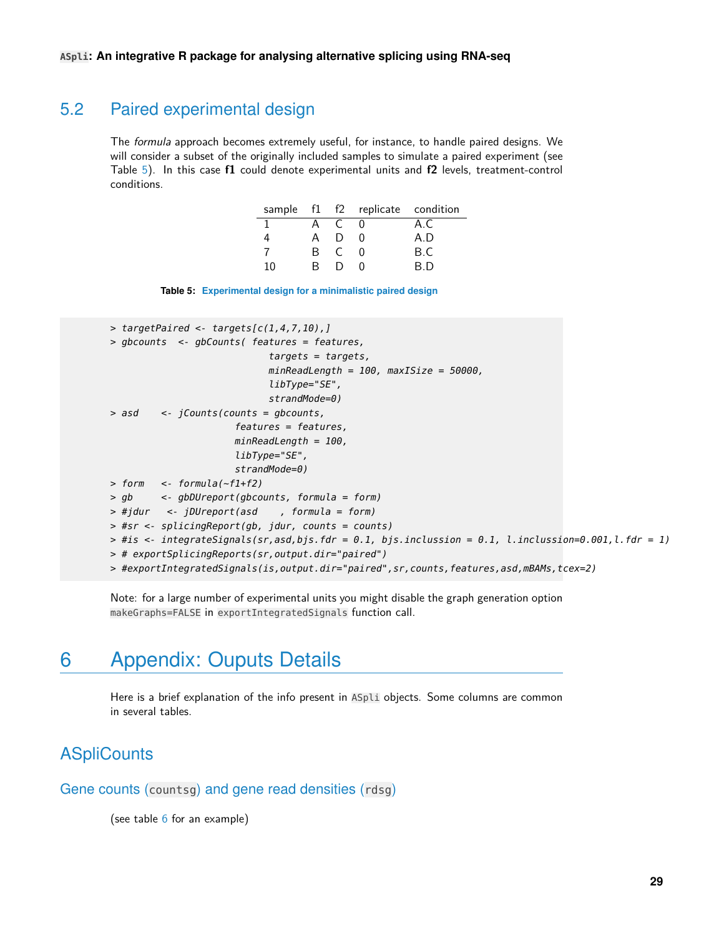# 5.2 Paired experimental design

<span id="page-28-1"></span>The formula approach becomes extremely useful, for instance, to handle paired designs. We will consider a subset of the originally included samples to simulate a paired experiment (see Table [5\)](#page-28-1). In this case **f1** could denote experimental units and **f2** levels, treatment-control conditions.

|    |    | sample f1 f2 replicate condition |     |
|----|----|----------------------------------|-----|
|    |    |                                  | A.C |
|    |    |                                  | A.D |
|    | R. |                                  | B.C |
| 10 | R  |                                  | R D |

**Table 5: Experimental design for a minimalistic paired design**

```
> targetPaired <- targets[c(1,4,7,10),]
> gbcounts <- gbCounts( features = features,
                            targets = targets,
                            minReadLength = 100, maxISize = 50000,libType="SE",
                            strandMode=0)
> asd <- jCounts(counts = gbcounts,
                      features = features,
                      minReadLength = 100,
                      libType="SE",
                      strandMode=0)
> form \leq formula(-f1+f2)
> gb <- gbDUreport(gbcounts, formula = form)
> #jdur <- jDUreport(asd , formula = form)
> #sr <- splicingReport(gb, jdur, counts = counts)
> #is <- integrateSignals(sr, asd, bjs.fdr = 0.1, bjs.inclussion = 0.1, l.inclussion=0.001, l.fdr = 1)
> # exportSplicingReports(sr,output.dir="paired")
> #exportIntegratedSignals(is,output.dir="paired",sr,counts,features,asd,mBAMs,tcex=2)
```
<span id="page-28-0"></span>Note: for a large number of experimental units you might disable the graph generation option makeGraphs=FALSE in exportIntegratedSignals function call.

# 6 Appendix: Ouputs Details

Here is a brief explanation of the info present in ASpli objects. Some columns are common in several tables.

# **ASpliCounts**

Gene counts (countsg) and gene read densities (rdsg)

(see table [6](#page-30-0) for an example)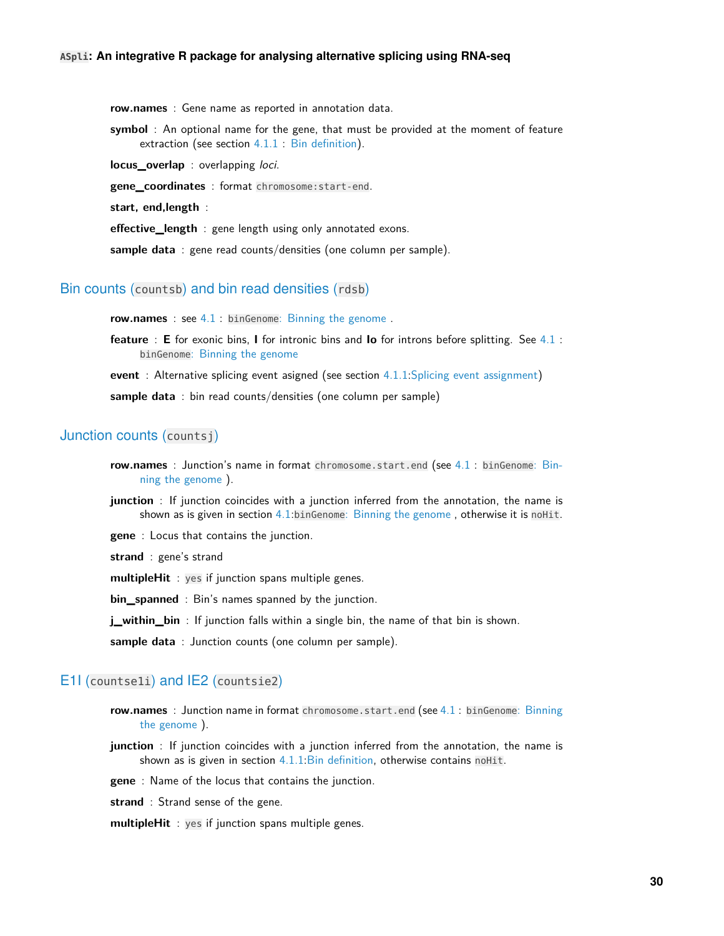**row.names** : Gene name as reported in annotation data.

**symbol** : An optional name for the gene, that must be provided at the moment of feature extraction (see section [4.1.1](#page-5-0) : [Bin definition\)](#page-5-0).

**locus** overlap : overlapping loci.

**gene\_coordinates** : format chromosome:start-end.

**start, end,length** :

**effective\_length** : gene length using only annotated exons.

**sample data** : gene read counts/densities (one column per sample).

### Bin counts (countsb) and bin read densities (rdsb)

**row.names** : see [4.1](#page-4-0) : binGenome[: Binning the genome](#page-4-0) .

- **feature** : **E** for exonic bins, **I** for intronic bins and **Io** for introns before splitting. See [4.1](#page-4-0) : binGenome[: Binning the genome](#page-4-0)
- **event** : Alternative splicing event asigned (see section [4.1.1:](#page-5-0)[Splicing event assignment\)](#page-6-0)
- **sample data** : bin read counts/densities (one column per sample)

### Junction counts (countsj)

- **row.names** : Junction's name in format chromosome.start.end (see [4.1](#page-4-0) : [binGenome](#page-4-0): Bin[ning the genome](#page-4-0) ).
- **junction** : If junction coincides with a junction inferred from the annotation, the name is shown as is given in section  $4.1$ :binGenome[: Binning the genome](#page-4-0), otherwise it is noHit.

**gene** : Locus that contains the junction.

**strand** : gene's strand

**multipleHit** : yes if junction spans multiple genes.

**bin\_spanned** : Bin's names spanned by the junction.

**j\_within\_bin** : If junction falls within a single bin, the name of that bin is shown.

**sample data** : Junction counts (one column per sample).

#### E1I (countse1i) and IE2 (countsie2)

- **row.names** : Junction name in format chromosome.start.end (see [4.1](#page-4-0) : binGenome[: Binning](#page-4-0) [the genome](#page-4-0) ).
- **junction** : If junction coincides with a junction inferred from the annotation, the name is shown as is given in section  $4.1.1$ : Bin definition, otherwise contains noHit.

**gene** : Name of the locus that contains the junction.

**strand** : Strand sense of the gene.

**multipleHit** : yes if junction spans multiple genes.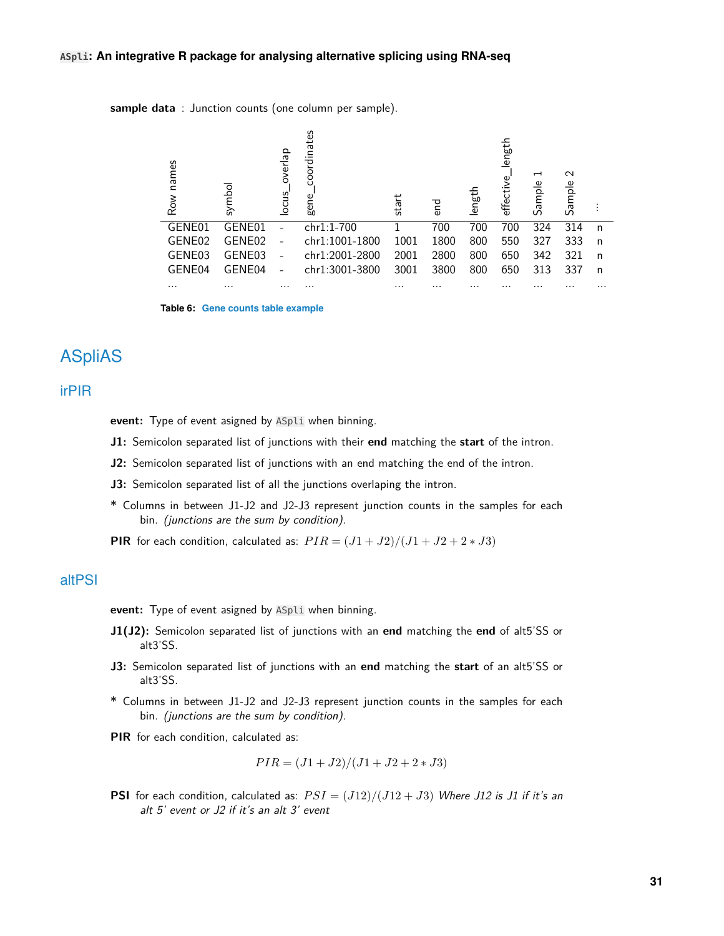| names<br>Row | symbol | overlap<br>locus. | coordinates<br>gene. | start | ទ<br>ទ | length | lengtl<br>effectiv | ᆏ<br>Sample | $\sim$<br>Sample |   |
|--------------|--------|-------------------|----------------------|-------|--------|--------|--------------------|-------------|------------------|---|
| GENE01       | GENE01 | -                 | chr1:1-700           |       | 700    | 700    | 700                | 324         | 314              | n |
| GENE02       | GENE02 |                   | chr1:1001-1800       | 1001  | 1800   | 800    | 550                | 327         | 333              | n |
| GENE03       | GENE03 | -                 | chr1:2001-2800       | 2001  | 2800   | 800    | 650                | 342         | 321              | n |
| GENE04       | GENE04 | -                 | chr1:3001-3800       | 3001  | 3800   | 800    | 650                | 313         | 337              | n |
| .            | .      | .                 | .                    | .     |        | .      | .                  |             |                  | . |

<span id="page-30-0"></span>**sample data** : Junction counts (one column per sample).

**Table 6: Gene counts table example**

# ASpliAS

## irPIR

**event:** Type of event asigned by ASpli when binning.

- **J1:** Semicolon separated list of junctions with their **end** matching the **start** of the intron.
- **J2:** Semicolon separated list of junctions with an end matching the end of the intron.
- **J3:** Semicolon separated list of all the junctions overlaping the intron.
- **\*** Columns in between J1-J2 and J2-J3 represent junction counts in the samples for each bin. *(junctions are the sum by condition)*.

**PIR** for each condition, calculated as:  $PIR = (J1 + J2)/(J1 + J2 + 2 * J3)$ 

# altPSI

**event:** Type of event asigned by ASpli when binning.

- **J1(J2):** Semicolon separated list of junctions with an **end** matching the **end** of alt5'SS or alt3'SS.
- **J3:** Semicolon separated list of junctions with an **end** matching the **start** of an alt5'SS or alt3'SS.
- **\*** Columns in between J1-J2 and J2-J3 represent junction counts in the samples for each bin. (junctions are the sum by condition).

**PIR** for each condition, calculated as:

$$
PIR = (J1 + J2)/(J1 + J2 + 2 * J3)
$$

**PSI** for each condition, calculated as:  $PSI = (J12)/(J12 + J3)$  Where J12 is J1 if it's an alt 5' event or J2 if it's an alt 3' event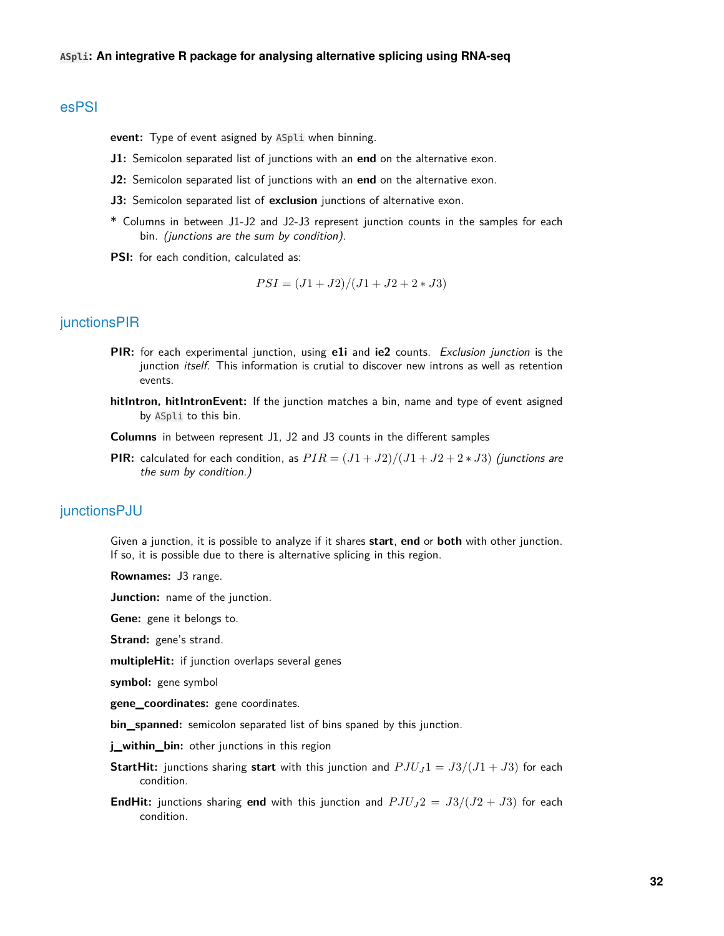### esPSI

**event:** Type of event asigned by ASpli when binning.

- **J1:** Semicolon separated list of junctions with an **end** on the alternative exon.
- **J2:** Semicolon separated list of junctions with an **end** on the alternative exon.
- **J3:** Semicolon separated list of **exclusion** junctions of alternative exon.
- **\*** Columns in between J1-J2 and J2-J3 represent junction counts in the samples for each bin. (junctions are the sum by condition).
- **PSI:** for each condition, calculated as:

 $PSI = (J1 + J2)/(J1 + J2 + 2 * J3)$ 

### junctionsPIR

- **PIR:** for each experimental junction, using **e1i** and **ie2** counts. Exclusion junction is the junction *itself*. This information is crutial to discover new introns as well as retention events.
- **hitIntron, hitIntronEvent:** If the junction matches a bin, name and type of event asigned by ASpli to this bin.

**Columns** in between represent J1, J2 and J3 counts in the different samples

**PIR:** calculated for each condition, as  $PIR = (J1 + J2)/(J1 + J2 + 2 * J3)$  (junctions are the sum by condition.)

#### junctionsPJU

Given a junction, it is possible to analyze if it shares **start**, **end** or **both** with other junction. If so, it is possible due to there is alternative splicing in this region.

**Rownames:** J3 range.

**Junction:** name of the junction.

**Gene:** gene it belongs to.

**Strand:** gene's strand.

**multipleHit:** if junction overlaps several genes

**symbol:** gene symbol

**gene\_coordinates:** gene coordinates.

**bin\_spanned:** semicolon separated list of bins spaned by this junction.

**j\_within\_bin:** other junctions in this region

- **StartHit:** junctions sharing start with this junction and  $PJU_J1 = J3/(J1 + J3)$  for each condition.
- **EndHit:** junctions sharing **end** with this junction and  $P J U_J 2 = J3/(J2 + J3)$  for each condition.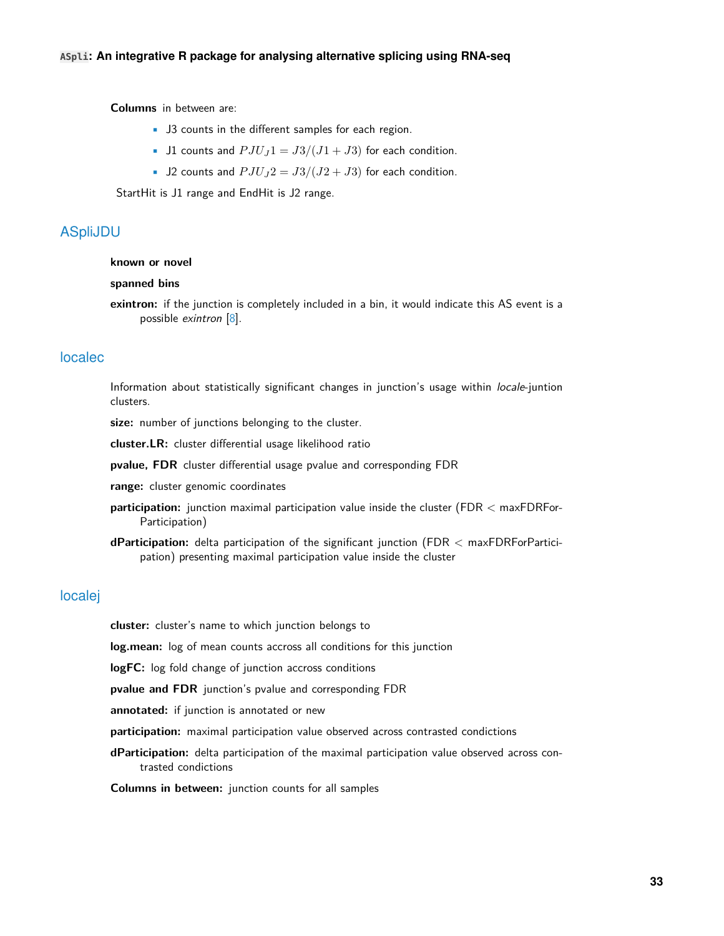**Columns** in between are:

- J3 counts in the different samples for each region.
- J1 counts and  $PJU_J1 = J3/(J1 + J3)$  for each condition.
- J2 counts and  $P J U_I 2 = J3/(J2 + J3)$  for each condition.

StartHit is J1 range and EndHit is J2 range.

### ASpliJDU

#### **known or novel**

#### **spanned bins**

**exintron:** if the junction is completely included in a bin, it would indicate this AS event is a possible exintron [\[8\]](#page-35-1).

## localec

Information about statistically significant changes in junction's usage within locale-juntion clusters.

**size:** number of junctions belonging to the cluster.

**cluster.LR:** cluster differential usage likelihood ratio

**pvalue, FDR** cluster differential usage pvalue and corresponding FDR

**range:** cluster genomic coordinates

- **participation:** junction maximal participation value inside the cluster (FDR < maxFDRFor-Participation)
- **dParticipation:** delta participation of the significant junction (FDR < maxFDRForParticipation) presenting maximal participation value inside the cluster

### localej

**cluster:** cluster's name to which junction belongs to

**log.mean:** log of mean counts accross all conditions for this junction

**logFC:** log fold change of junction accross conditions

**pvalue and FDR** junction's pvalue and corresponding FDR

**annotated:** if junction is annotated or new

**participation:** maximal participation value observed across contrasted condictions

**dParticipation:** delta participation of the maximal participation value observed across contrasted condictions

**Columns in between:** junction counts for all samples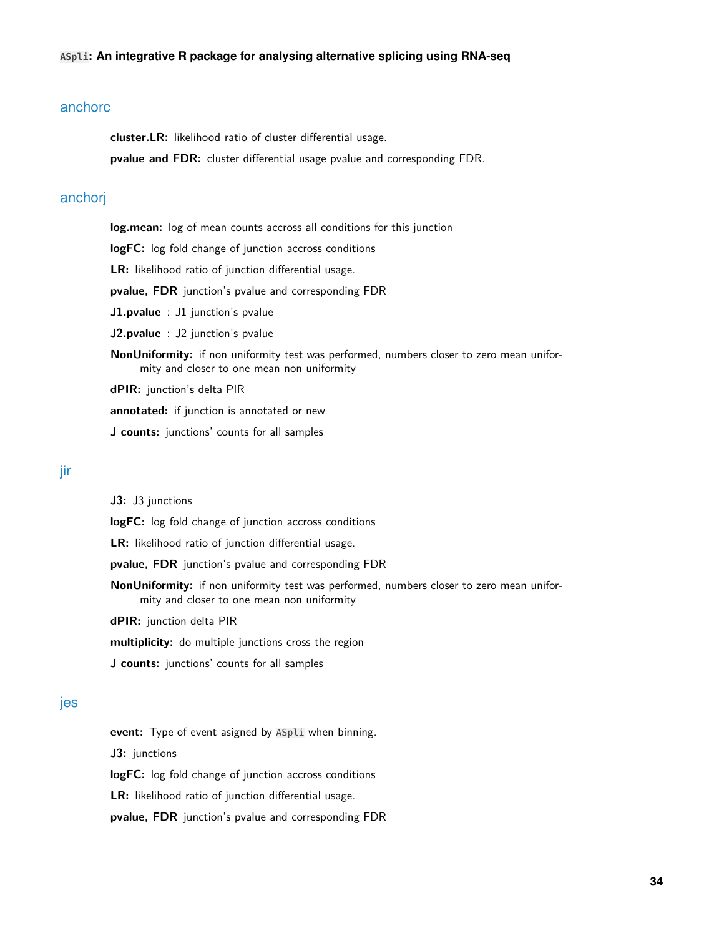## anchorc

**cluster.LR:** likelihood ratio of cluster differential usage.

**pvalue and FDR:** cluster differential usage pvalue and corresponding FDR.

### anchorj

**log.mean:** log of mean counts accross all conditions for this junction **logFC:** log fold change of junction accross conditions **LR:** likelihood ratio of junction differential usage. **pvalue, FDR** junction's pvalue and corresponding FDR **J1.pvalue** : J1 junction's pvalue **J2.pvalue** : J2 junction's pvalue **NonUniformity:** if non uniformity test was performed, numbers closer to zero mean uniformity and closer to one mean non uniformity **dPIR:** junction's delta PIR **annotated:** if junction is annotated or new **J counts:** junctions' counts for all samples

# jir

**J3:** J3 junctions

logFC: log fold change of junction accross conditions

**LR:** likelihood ratio of junction differential usage.

**pvalue, FDR** junction's pvalue and corresponding FDR

**NonUniformity:** if non uniformity test was performed, numbers closer to zero mean uniformity and closer to one mean non uniformity

**dPIR:** junction delta PIR

**multiplicity:** do multiple junctions cross the region

**J counts:** junctions' counts for all samples

## jes

**event:** Type of event asigned by ASpli when binning.

**J3:** junctions

**logFC:** log fold change of junction accross conditions

**LR:** likelihood ratio of junction differential usage.

**pvalue, FDR** junction's pvalue and corresponding FDR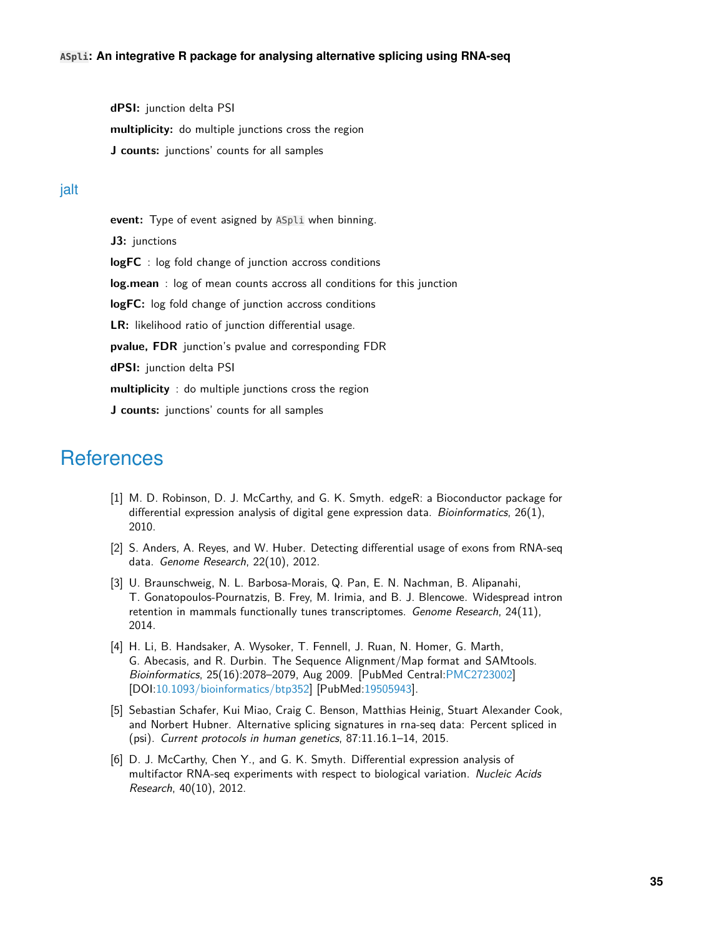**dPSI:** junction delta PSI **multiplicity:** do multiple junctions cross the region **J counts:** junctions' counts for all samples

# jalt

**event:** Type of event asigned by ASpli when binning. **J3:** junctions **logFC** : log fold change of junction accross conditions **log.mean** : log of mean counts accross all conditions for this junction **logFC:** log fold change of junction accross conditions **LR:** likelihood ratio of junction differential usage. **pvalue, FDR** junction's pvalue and corresponding FDR **dPSI:** junction delta PSI **multiplicity** : do multiple junctions cross the region **J counts:** junctions' counts for all samples

# **References**

- <span id="page-34-0"></span>[1] M. D. Robinson, D. J. McCarthy, and G. K. Smyth. edgeR: a Bioconductor package for differential expression analysis of digital gene expression data. Bioinformatics, 26(1), 2010.
- <span id="page-34-1"></span>[2] S. Anders, A. Reyes, and W. Huber. Detecting differential usage of exons from RNA-seg data. Genome Research, 22(10), 2012.
- <span id="page-34-2"></span>[3] U. Braunschweig, N. L. Barbosa-Morais, Q. Pan, E. N. Nachman, B. Alipanahi, T. Gonatopoulos-Pournatzis, B. Frey, M. Irimia, and B. J. Blencowe. Widespread intron retention in mammals functionally tunes transcriptomes. Genome Research, 24(11), 2014.
- <span id="page-34-3"></span>[4] H. Li, B. Handsaker, A. Wysoker, T. Fennell, J. Ruan, N. Homer, G. Marth, G. Abecasis, and R. Durbin. The Sequence Alignment/Map format and SAMtools. Bioinformatics, 25(16):2078–2079, Aug 2009. [PubMed Central[:PMC2723002\]](https://www.ncbi.nlm.nih.gov/pmc/articles/PMC2723002) [DOI[:10.1093/bioinformatics/btp352\]](https://dx.doi.org/10.1093/bioinformatics/btp352) [PubMed[:19505943\]](https://www.ncbi.nlm.nih.gov/pubmed/19505943).
- <span id="page-34-4"></span>[5] Sebastian Schafer, Kui Miao, Craig C. Benson, Matthias Heinig, Stuart Alexander Cook, and Norbert Hubner. Alternative splicing signatures in rna-seq data: Percent spliced in (psi). Current protocols in human genetics, 87:11.16.1–14, 2015.
- <span id="page-34-5"></span>[6] D. J. McCarthy, Chen Y., and G. K. Smyth. Differential expression analysis of multifactor RNA-seq experiments with respect to biological variation. Nucleic Acids Research, 40(10), 2012.